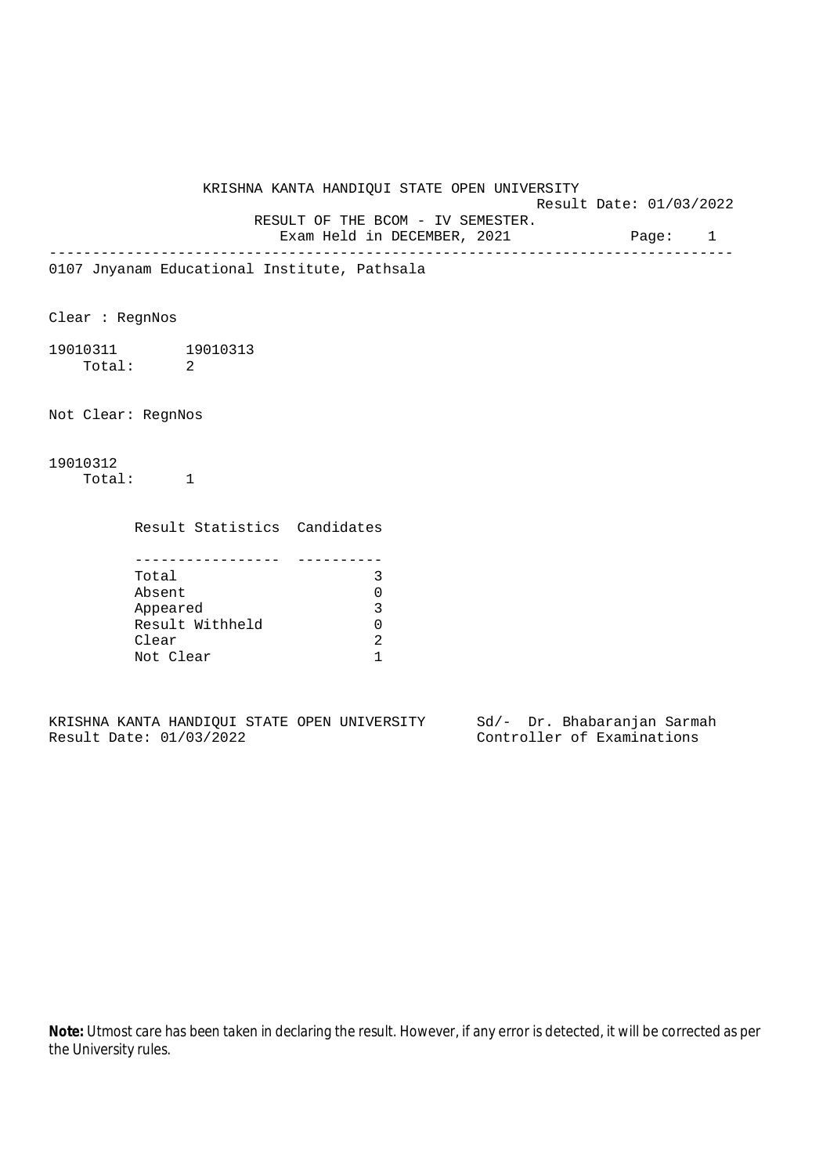KRISHNA KANTA HANDIQUI STATE OPEN UNIVERSITY Result Date: 01/03/2022 RESULT OF THE BCOM - IV SEMESTER. Exam Held in DECEMBER, 2021 Page: 1 -------------------------------------------------------------------------------- 0107 Jnyanam Educational Institute, Pathsala Clear : RegnNos 19010311 19010313 Total: 2 Not Clear: RegnNos 19010312 Total: 1 Result Statistics Candidates ----------------- ---------- Total 3 Absent 0

Appeared 3 Result Withheld 0<br>Clear 2 Clear 2<br>Not Clear 1 Not Clear

KRISHNA KANTA HANDIQUI STATE OPEN UNIVERSITY Sd/- Dr. Bhabaranjan Sarmah<br>Result Date: 01/03/2022 Controller of Examinations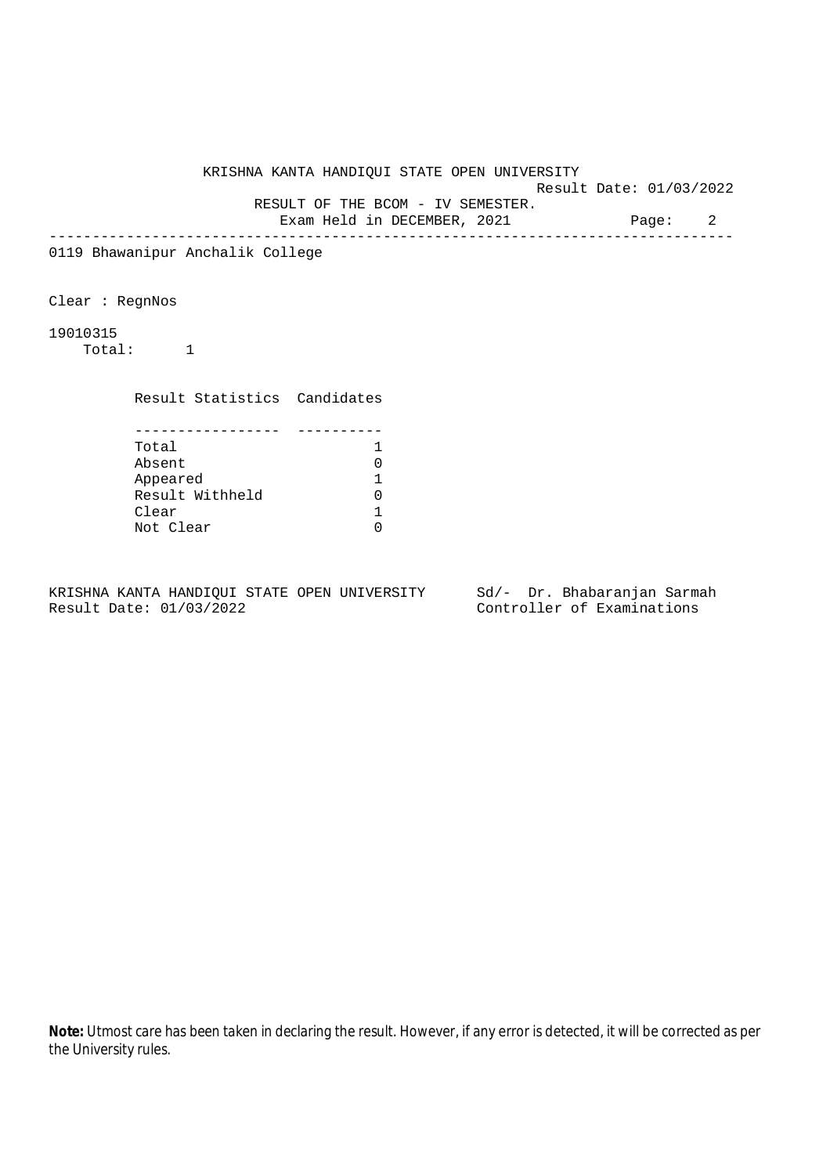Result Date: 01/03/2022

RESULT OF THE BCOM - IV SEMESTER.

Exam Held in DECEMBER, 2021 Page: 2 --------------------------------------------------------------------------------

0119 Bhawanipur Anchalik College

Clear : RegnNos

19010315

Total: 1

Result Statistics Candidates

| Total           |  |
|-----------------|--|
| Absent          |  |
| Appeared        |  |
| Result Withheld |  |
| Clear           |  |
| Not Clear       |  |

KRISHNA KANTA HANDIQUI STATE OPEN UNIVERSITY Sd/- Dr. Bhabaranjan Sarmah Result Date: 01/03/2022 Controller of Examinations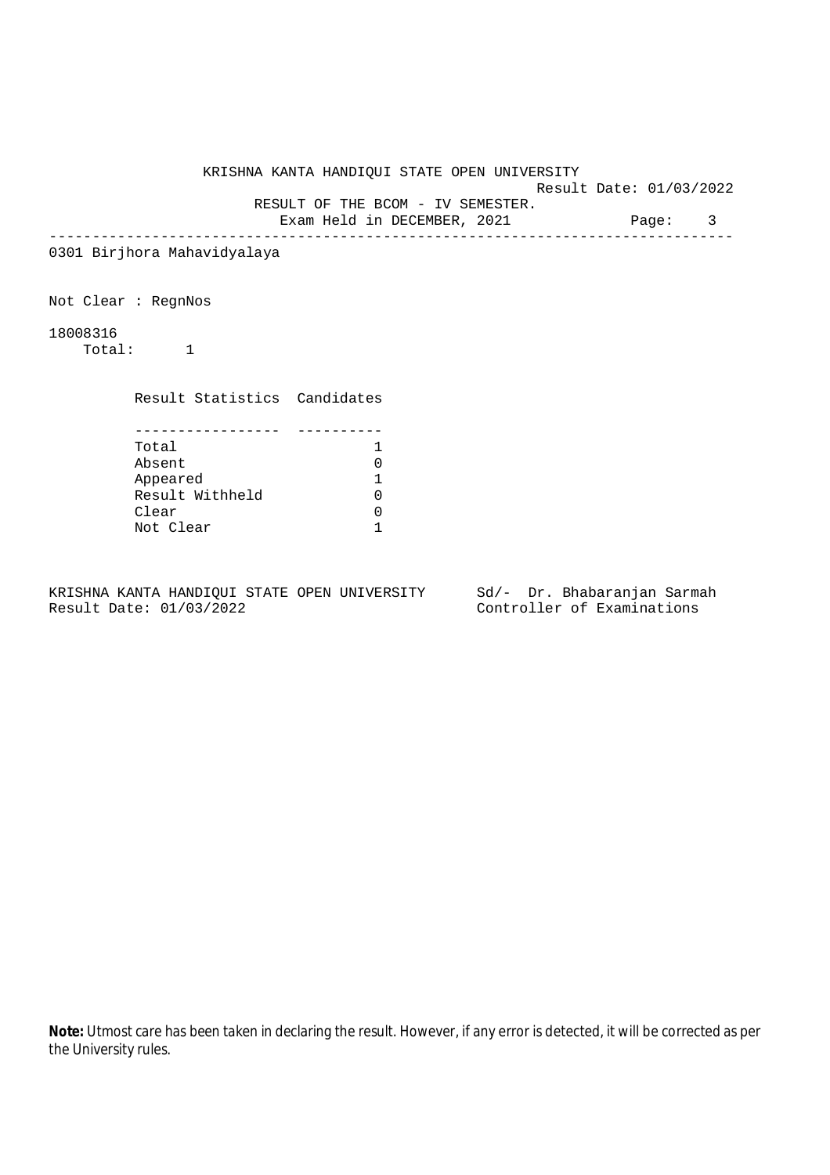Result Date: 01/03/2022

RESULT OF THE BCOM - IV SEMESTER.

Exam Held in DECEMBER, 2021 Page: 3 --------------------------------------------------------------------------------

0301 Birjhora Mahavidyalaya

Not Clear : RegnNos

18008316

Total: 1

Result Statistics Candidates

| Total           |  |
|-----------------|--|
| Absent          |  |
| Appeared        |  |
| Result Withheld |  |
| Clear           |  |
| Not Clear       |  |

KRISHNA KANTA HANDIQUI STATE OPEN UNIVERSITY Sd/- Dr. Bhabaranjan Sarmah Result Date: 01/03/2022 Controller of Examinations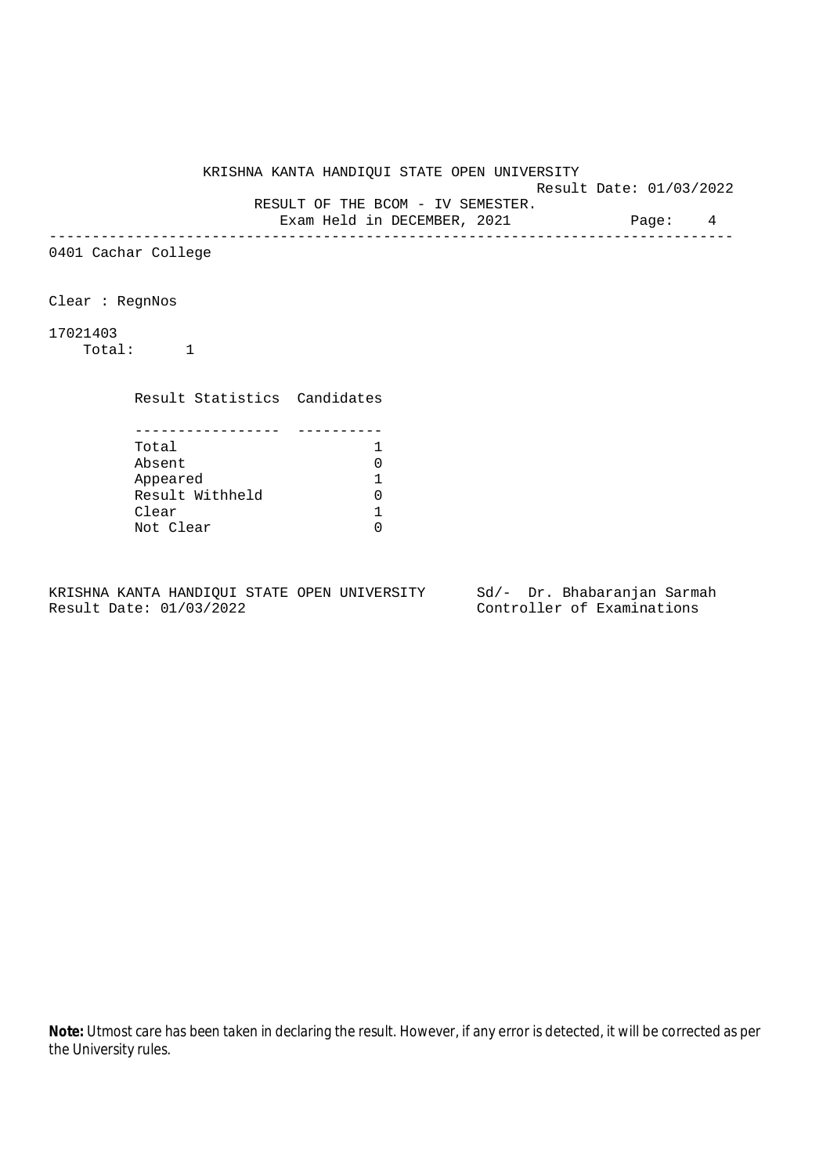Result Date: 01/03/2022 RESULT OF THE BCOM - IV SEMESTER.

Exam Held in DECEMBER, 2021 Page: 4

--------------------------------------------------------------------------------

0401 Cachar College

Clear : RegnNos

17021403

Total: 1

Result Statistics Candidates

| Total           |  |
|-----------------|--|
| Absent          |  |
| Appeared        |  |
| Result Withheld |  |
| Clear           |  |
| Not Clear       |  |

KRISHNA KANTA HANDIQUI STATE OPEN UNIVERSITY Sd/- Dr. Bhabaranjan Sarmah Result Date: 01/03/2022 Controller of Examinations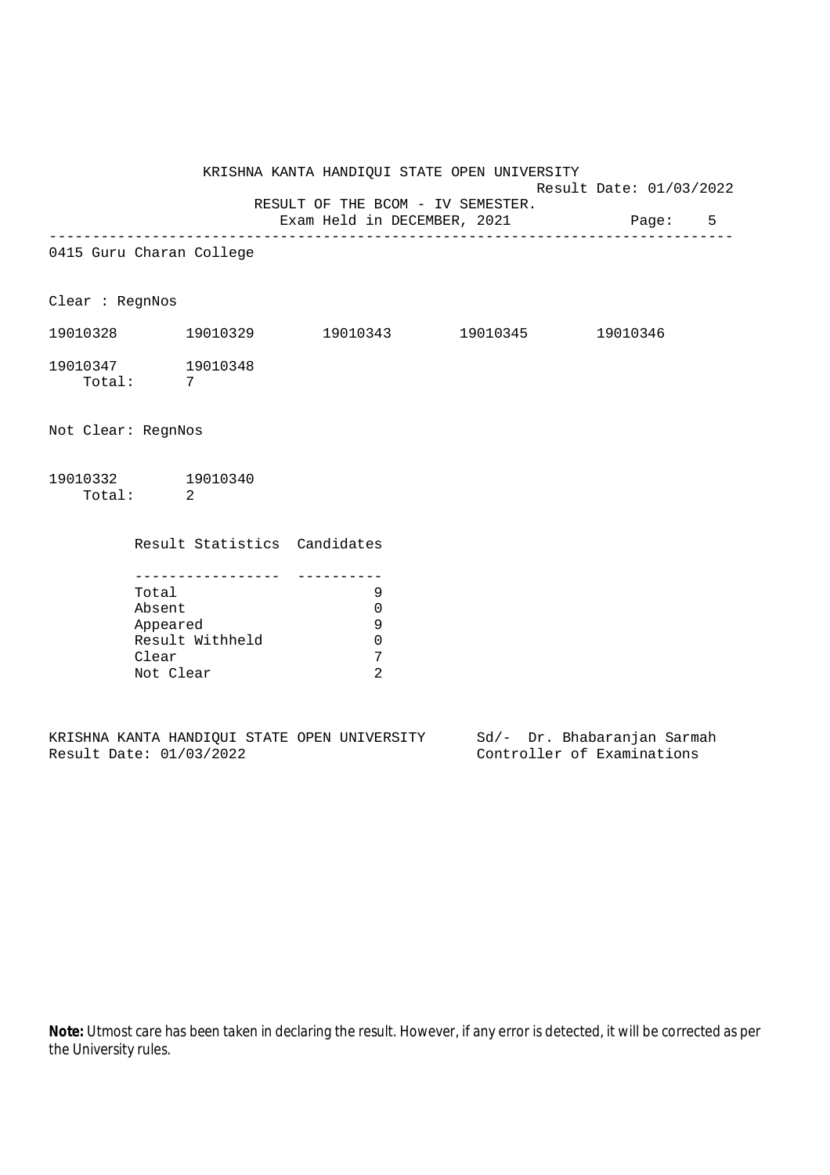Result Date: 01/03/2022 RESULT OF THE BCOM - IV SEMESTER.

Exam Held in DECEMBER, 2021 Page: 5 -------------------------------------------------------------------------------- 0415 Guru Charan College Clear : RegnNos 19010328 19010329 19010343 19010345 19010346 19010347 19010348 Total: 7 Not Clear: RegnNos 19010332 19010340 Total: 2 Result Statistics Candidates ----------------- ---------- Total 9 Absent 0<br>Appeared 9 Appeared 9 Result Withheld 0 Clear 7 Not Clear 2

KRISHNA KANTA HANDIQUI STATE OPEN UNIVERSITY Sd/- Dr. Bhabaranjan Sarmah Result Date: 01/03/2022 Controller of Examinations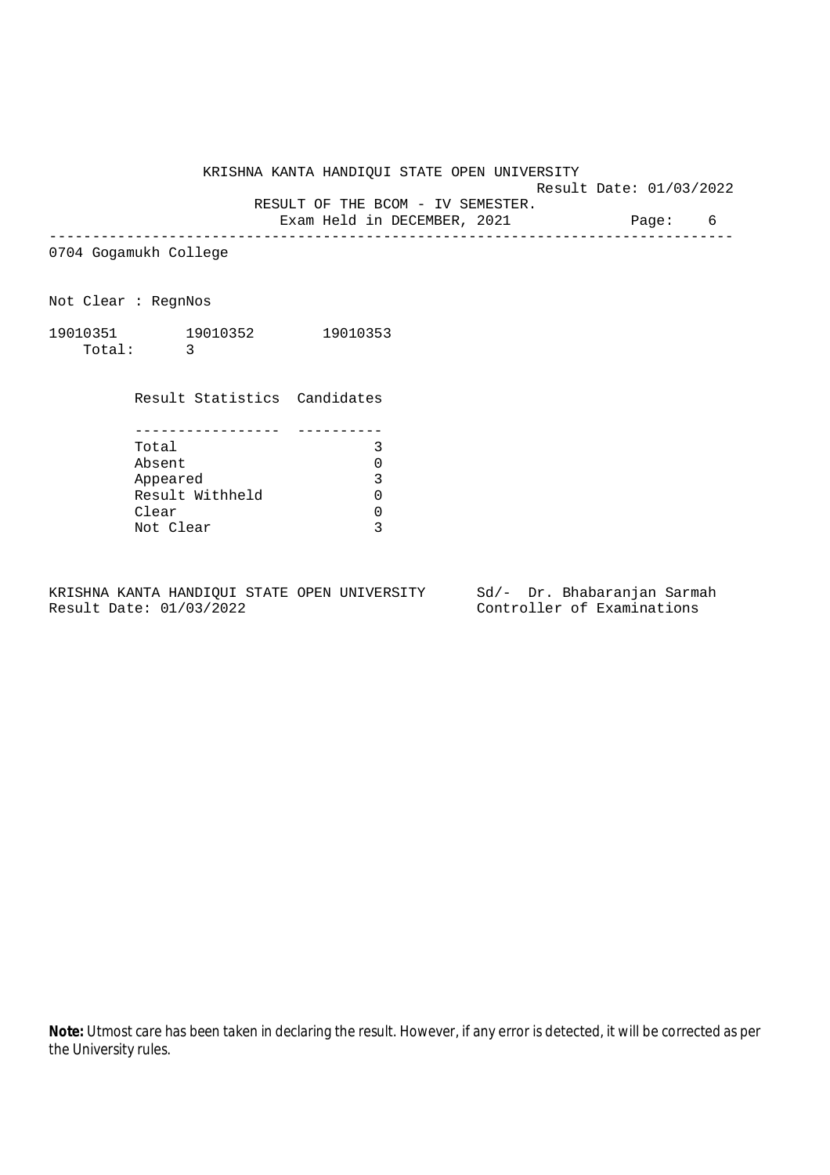Result Date: 01/03/2022

RESULT OF THE BCOM - IV SEMESTER.

Exam Held in DECEMBER, 2021 Page: 6 --------------------------------------------------------------------------------

0704 Gogamukh College

Not Clear : RegnNos

| 19010351 | 19010352 | 19010353 |
|----------|----------|----------|
| Total:   |          |          |

Result Statistics Candidates

| Total           |  |
|-----------------|--|
| Absent          |  |
| Appeared        |  |
| Result Withheld |  |
| Clear           |  |
| Not Clear       |  |

KRISHNA KANTA HANDIQUI STATE OPEN UNIVERSITY Sd/- Dr. Bhabaranjan Sarmah<br>Result Date: 01/03/2022 Controller of Examinations

Controller of Examinations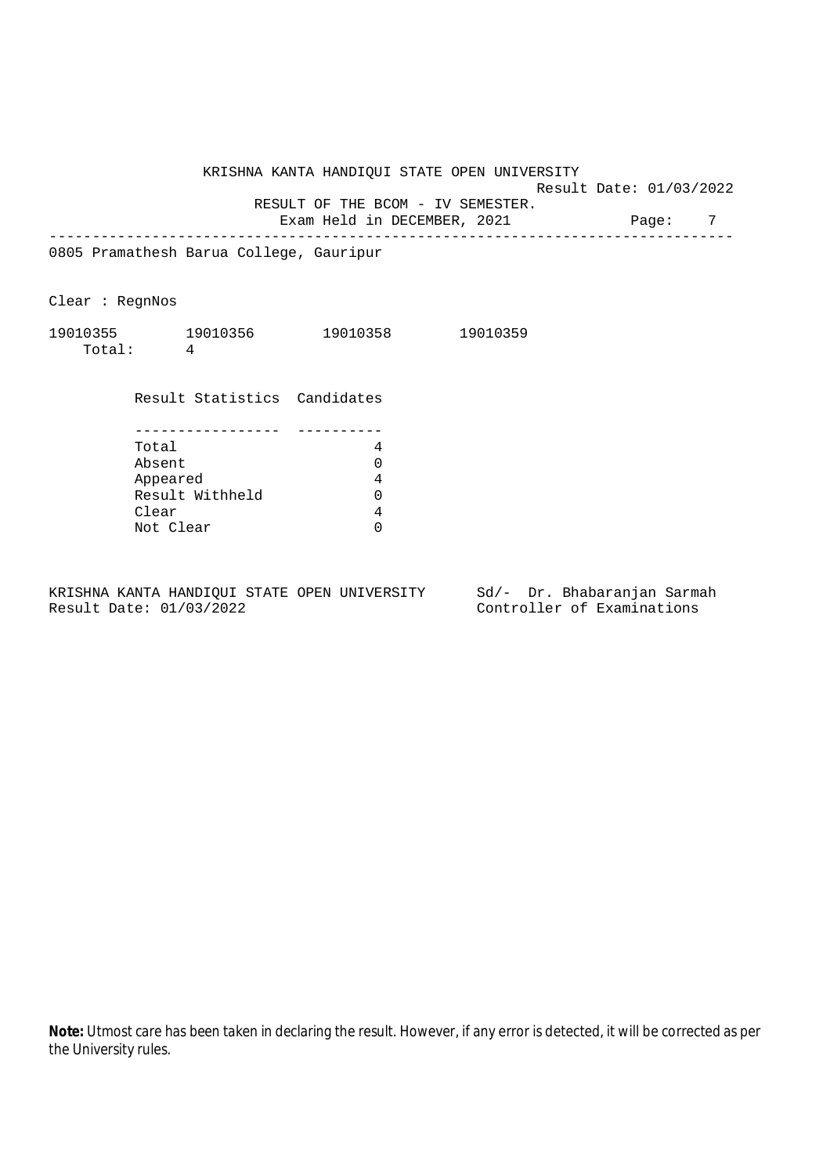Result Date: 01/03/2022

RESULT OF THE BCOM - IV SEMESTER.

Exam Held in DECEMBER, 2021 Page: 7 --------------------------------------------------------------------------------

0805 Pramathesh Barua College, Gauripur

Clear : RegnNos

| 19010355 | 19010356 | 19010358 | 19010359 |
|----------|----------|----------|----------|
| Total:   |          |          |          |

Result Statistics Candidates

| Total           |  |
|-----------------|--|
| Absent          |  |
| Appeared        |  |
| Result Withheld |  |
| Clear           |  |
| Not Clear       |  |

KRISHNA KANTA HANDIQUI STATE OPEN UNIVERSITY Sd/- Dr. Bhabaranjan Sarmah Result Date: 01/03/2022 Controller of Examinations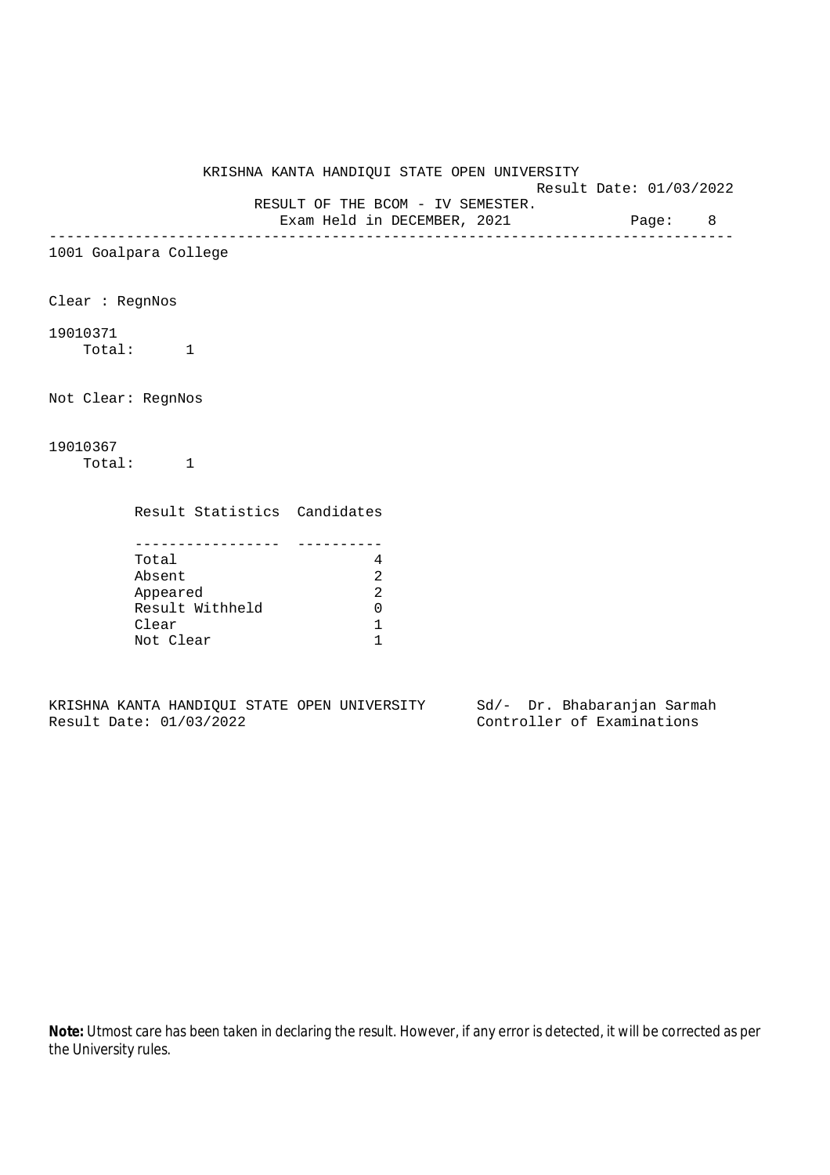Result Date: 01/03/2022

RESULT OF THE BCOM - IV SEMESTER.

Exam Held in DECEMBER, 2021 Page: 8 --------------------------------------------------------------------------------

1001 Goalpara College

Clear : RegnNos

## 19010371

Total: 1

Not Clear: RegnNos

# 19010367

Total: 1

Result Statistics Candidates

| Total           |  |
|-----------------|--|
| Absent          |  |
| Appeared        |  |
| Result Withheld |  |
| Clear           |  |
| Not Clear       |  |

KRISHNA KANTA HANDIQUI STATE OPEN UNIVERSITY Sd/- Dr. Bhabaranjan Sarmah Result Date: 01/03/2022 Controller of Examinations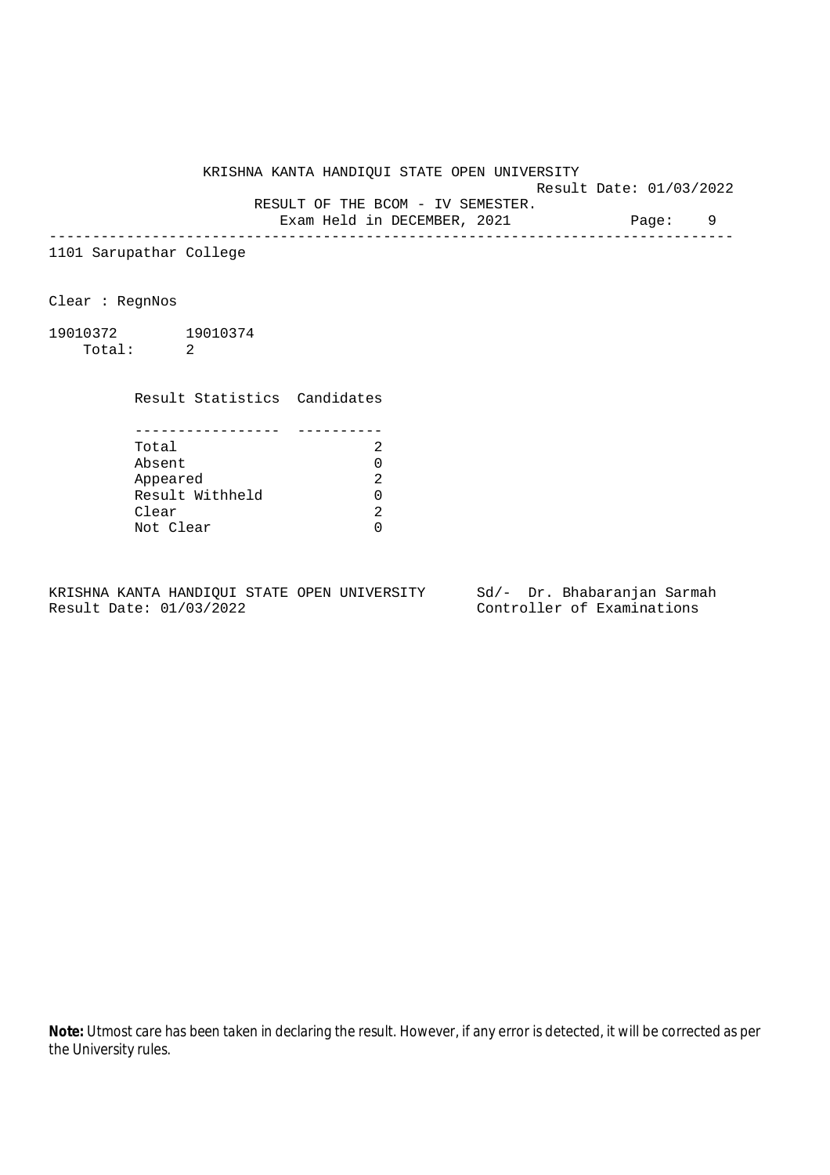Result Date: 01/03/2022

RESULT OF THE BCOM - IV SEMESTER.

Exam Held in DECEMBER, 2021 Page: 9 --------------------------------------------------------------------------------

1101 Sarupathar College

Clear : RegnNos

19010372 19010374 Total: 2

Result Statistics Candidates

| Total           |   |
|-----------------|---|
| Absent          |   |
| Appeared        | っ |
| Result Withheld |   |
| Clear           |   |
| Not Clear       |   |

KRISHNA KANTA HANDIQUI STATE OPEN UNIVERSITY Sd/- Dr. Bhabaranjan Sarmah Result Date: 01/03/2022 Controller of Examinations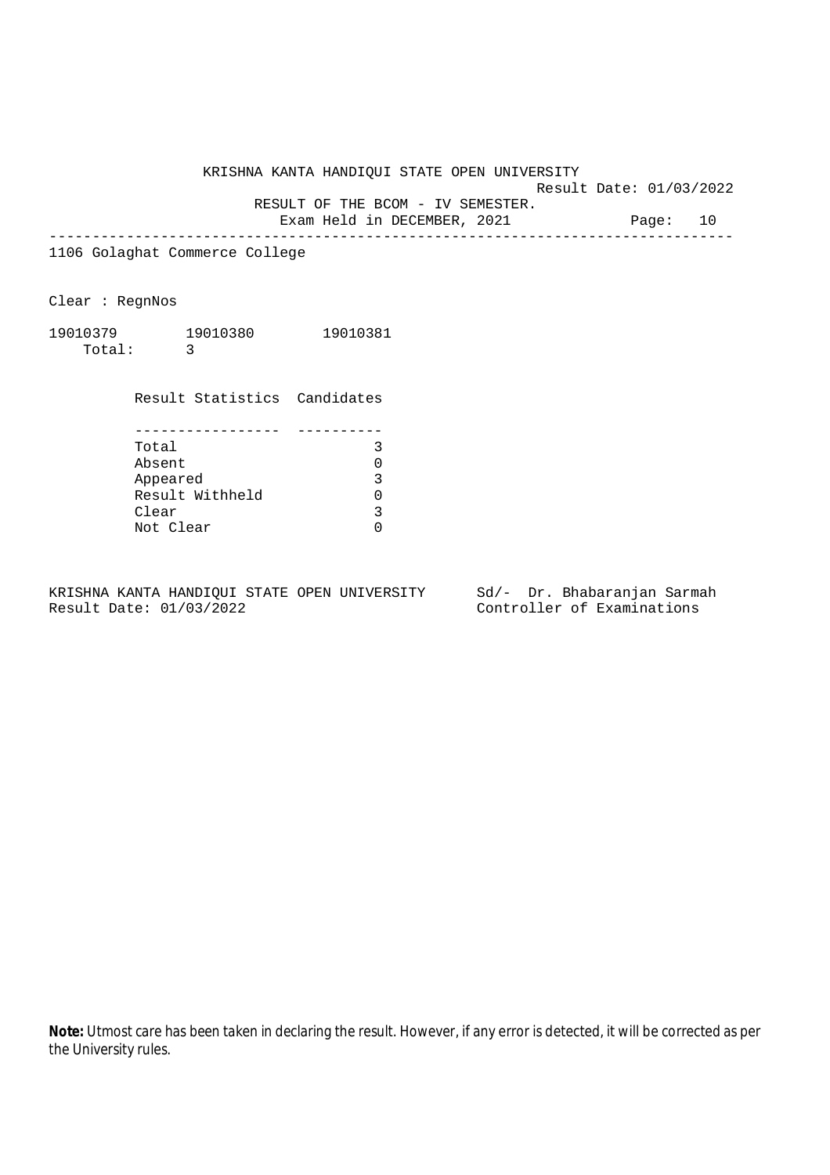Result Date: 01/03/2022

RESULT OF THE BCOM - IV SEMESTER.

Exam Held in DECEMBER, 2021 Page: 10 --------------------------------------------------------------------------------

1106 Golaghat Commerce College

Clear : RegnNos

19010379 19010380 19010381 Total: 3

> Result Statistics Candidates ----------------- ----------

| Total           | २  |
|-----------------|----|
| Absent          | 0  |
| Appeared        | ર  |
| Result Withheld | O. |
| Clear           |    |
| Not Clear       |    |

KRISHNA KANTA HANDIQUI STATE OPEN UNIVERSITY Sd/- Dr. Bhabaranjan Sarmah Result Date: 01/03/2022 Controller of Examinations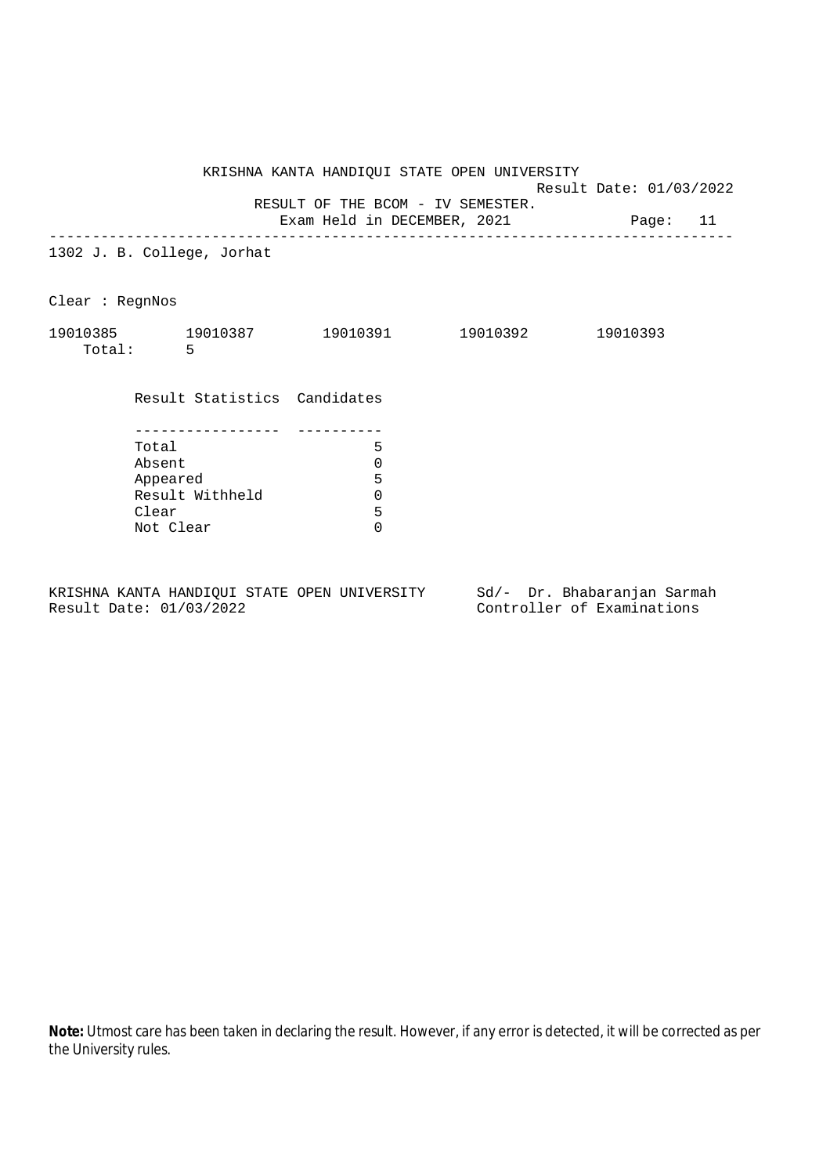Result Date: 01/03/2022 RESULT OF THE BCOM - IV SEMESTER.

Exam Held in DECEMBER, 2021 Page: 11

--------------------------------------------------------------------------------

1302 J. B. College, Jorhat

Clear : RegnNos

| 19010385 | 19010387 | 19010391 | 19010392 | 19010393 |
|----------|----------|----------|----------|----------|
| Total:   |          |          |          |          |

Result Statistics Candidates

| Total           |   |
|-----------------|---|
| Absent          |   |
| Appeared        | 5 |
| Result Withheld |   |
| Clear           | 5 |
| Not Clear       |   |

KRISHNA KANTA HANDIQUI STATE OPEN UNIVERSITY Sd/- Dr. Bhabaranjan Sarmah Result Date: 01/03/2022 Controller of Examinations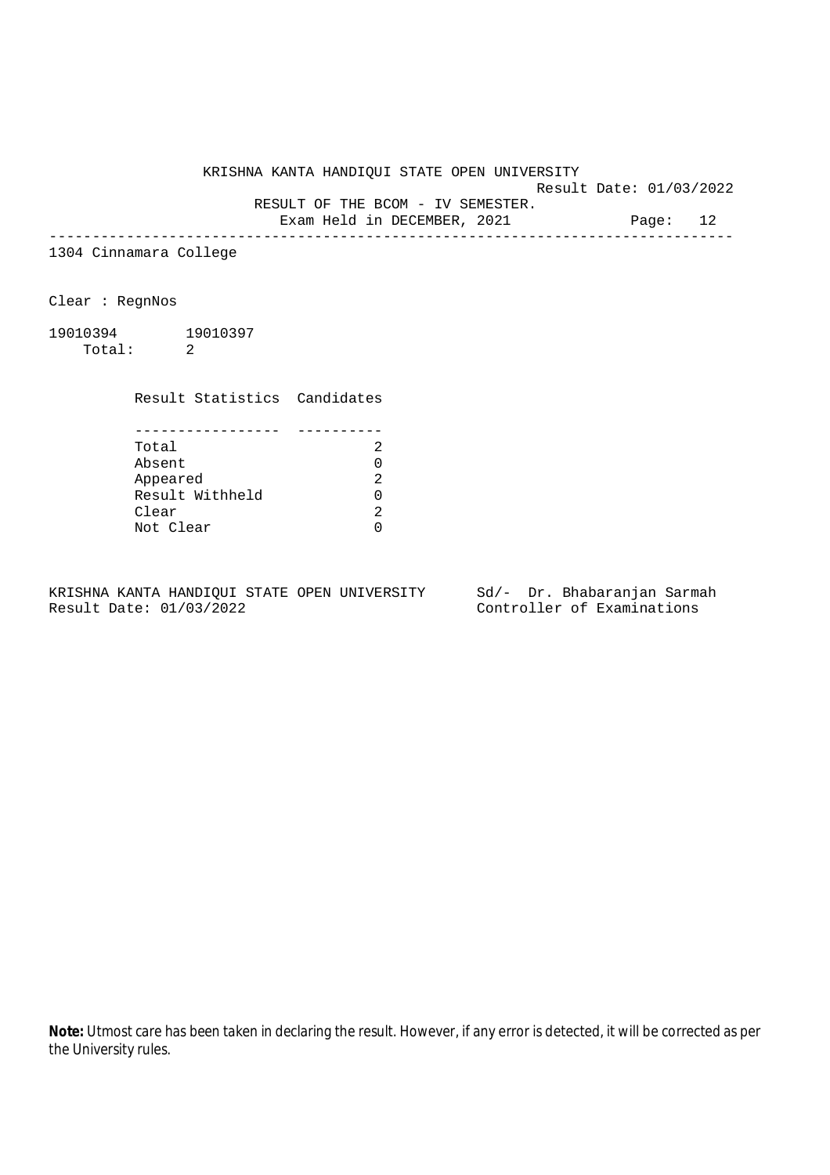Result Date: 01/03/2022

RESULT OF THE BCOM - IV SEMESTER.

Exam Held in DECEMBER, 2021 Page: 12 --------------------------------------------------------------------------------

1304 Cinnamara College

Clear : RegnNos

19010394 19010397 Total: 2

Result Statistics Candidates

| Total           |  |
|-----------------|--|
| Absent          |  |
| Appeared        |  |
| Result Withheld |  |
| Clear           |  |
| Not Clear       |  |

KRISHNA KANTA HANDIQUI STATE OPEN UNIVERSITY Sd/- Dr. Bhabaranjan Sarmah Result Date: 01/03/2022 Controller of Examinations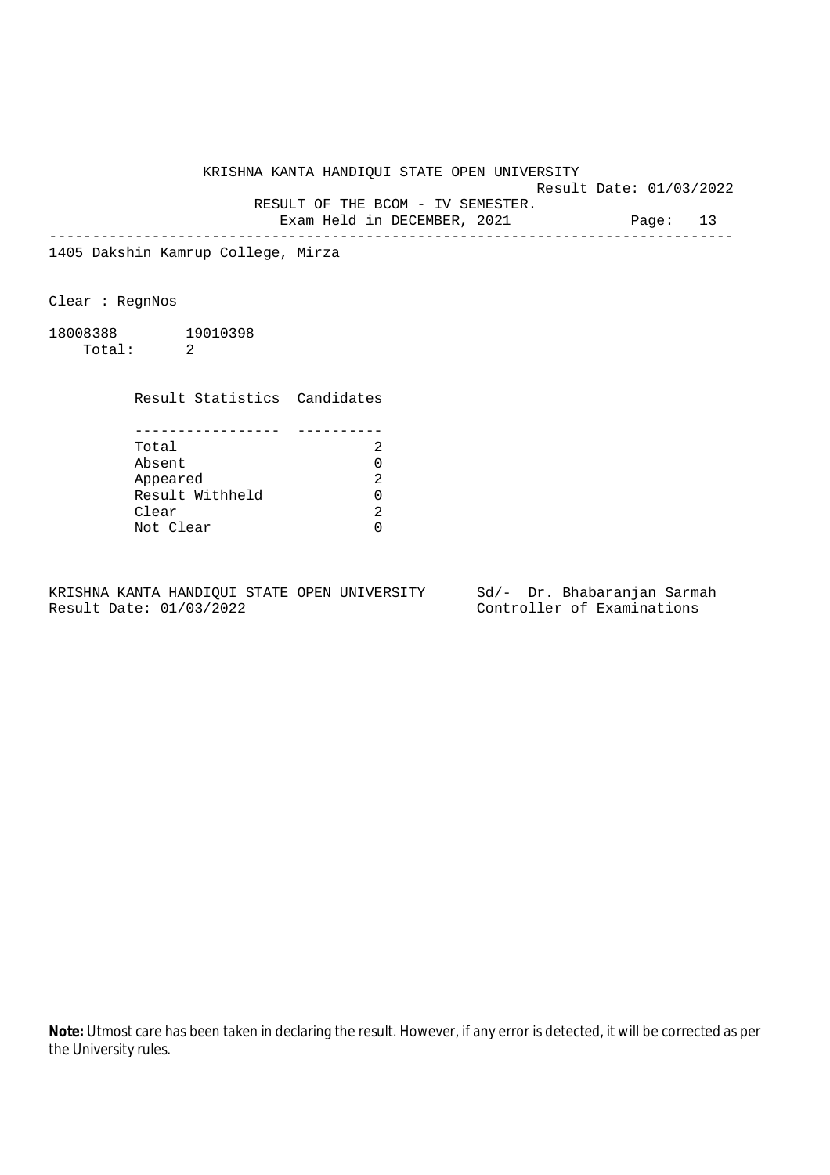Result Date: 01/03/2022

RESULT OF THE BCOM - IV SEMESTER.

Exam Held in DECEMBER, 2021 Page: 13 --------------------------------------------------------------------------------

1405 Dakshin Kamrup College, Mirza

Clear : RegnNos

18008388 19010398 Total: 2

Result Statistics Candidates

| Total           |  |
|-----------------|--|
| Absent          |  |
| Appeared        |  |
| Result Withheld |  |
| Clear           |  |
| Not Clear       |  |

KRISHNA KANTA HANDIQUI STATE OPEN UNIVERSITY Sd/- Dr. Bhabaranjan Sarmah Result Date: 01/03/2022 Controller of Examinations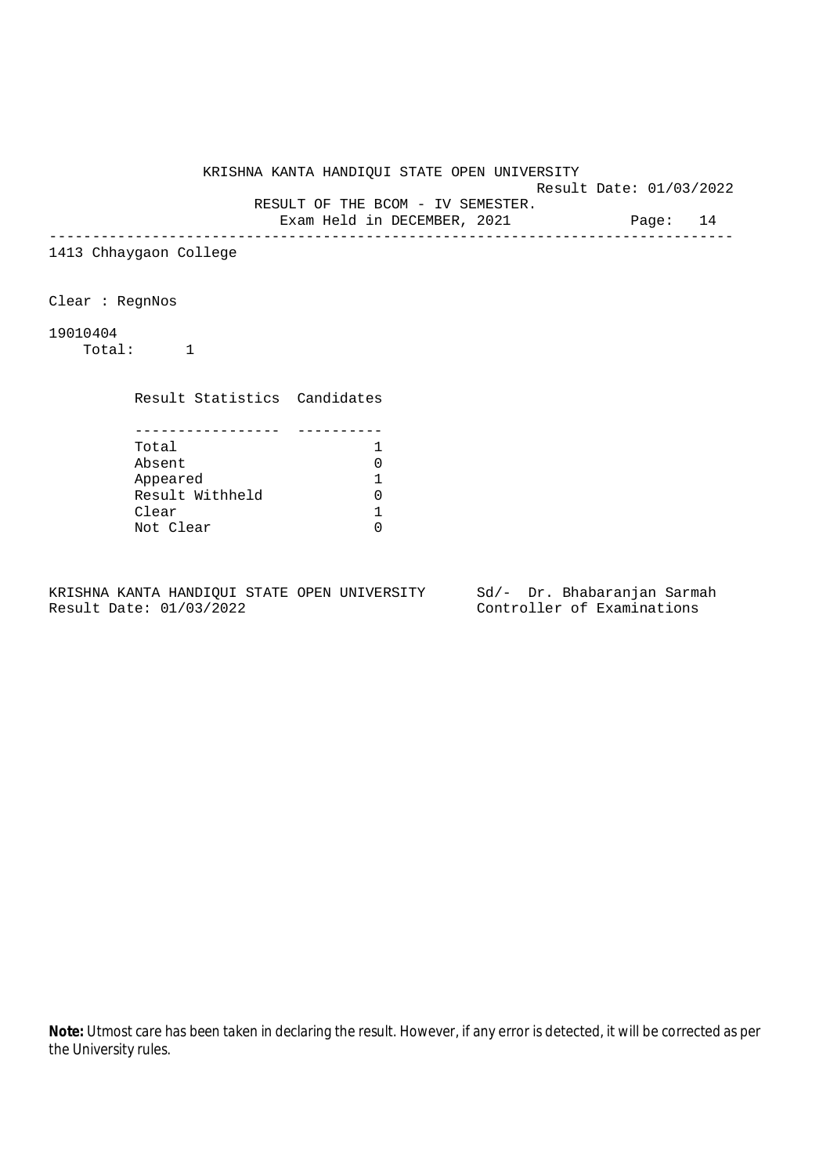Result Date: 01/03/2022

RESULT OF THE BCOM - IV SEMESTER.

Exam Held in DECEMBER, 2021 Page: 14 --------------------------------------------------------------------------------

1413 Chhaygaon College

Clear : RegnNos

19010404

Total: 1

Result Statistics Candidates

| Total           |  |
|-----------------|--|
| Absent          |  |
| Appeared        |  |
| Result Withheld |  |
| Clear           |  |
| Not Clear       |  |

KRISHNA KANTA HANDIQUI STATE OPEN UNIVERSITY Sd/- Dr. Bhabaranjan Sarmah Result Date: 01/03/2022 Controller of Examinations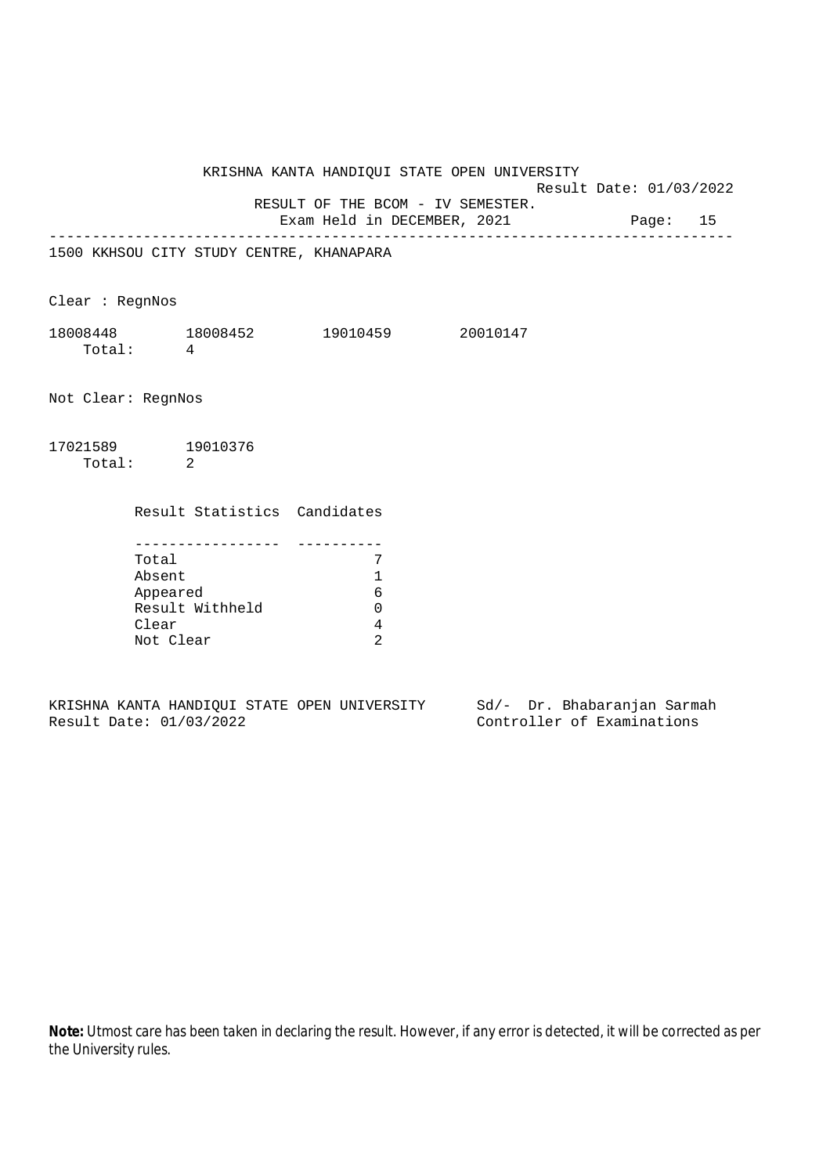Result Date: 01/03/2022

RESULT OF THE BCOM - IV SEMESTER.

Exam Held in DECEMBER, 2021 Page: 15 --------------------------------------------------------------------------------

1500 KKHSOU CITY STUDY CENTRE, KHANAPARA

Clear : RegnNos

| 18008448 | 18008452 | 19010459 | 20010147 |
|----------|----------|----------|----------|
| Total:   |          |          |          |

Not Clear: RegnNos

17021589 19010376 Total: 2

Result Statistics Candidates

| Total           |  |
|-----------------|--|
| Absent          |  |
| Appeared        |  |
| Result Withheld |  |
| Clear           |  |
| Not Clear       |  |

|  |                         |  | KRISHNA KANTA HANDIOUI STATE OPEN UNIVERSITY |  | Sd/- Dr. Bhabaranjan Sarmah |  |
|--|-------------------------|--|----------------------------------------------|--|-----------------------------|--|
|  | Result Date: 01/03/2022 |  |                                              |  | Controller of Examinations  |  |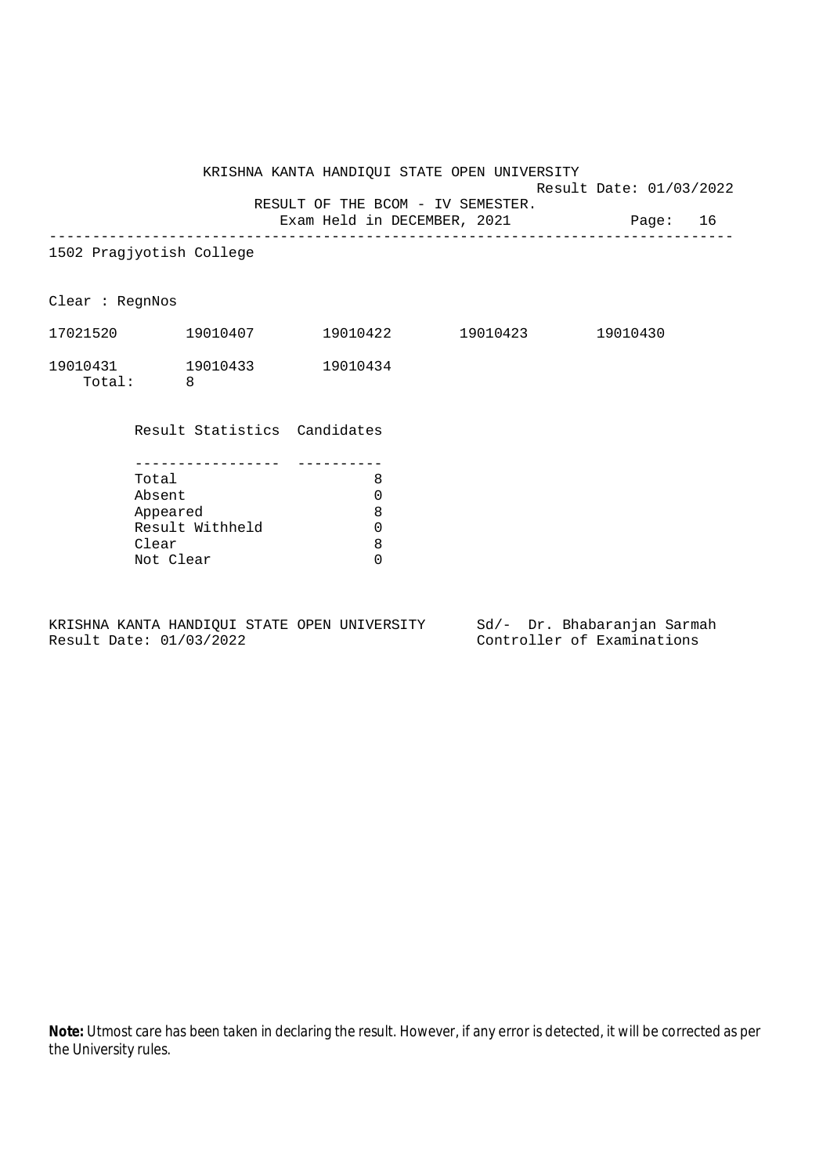Result Date: 01/03/2022 RESULT OF THE BCOM - IV SEMESTER.

Exam Held in DECEMBER, 2021 Page: 16 -------------------------------------------------------------------------------- 1502 Pragjyotish College Clear : RegnNos 17021520 19010407 19010422 19010423 19010430 19010431 19010433 19010434 Total: 8 Result Statistics Candidates ----------------- ---------- Total 8 Absent 0<br>Appeared 8 Appeared Result Withheld 0 Clear 8 Not Clear 0

KRISHNA KANTA HANDIQUI STATE OPEN UNIVERSITY Sd/- Dr. Bhabaranjan Sarmah Result Date: 01/03/2022 Controller of Examinations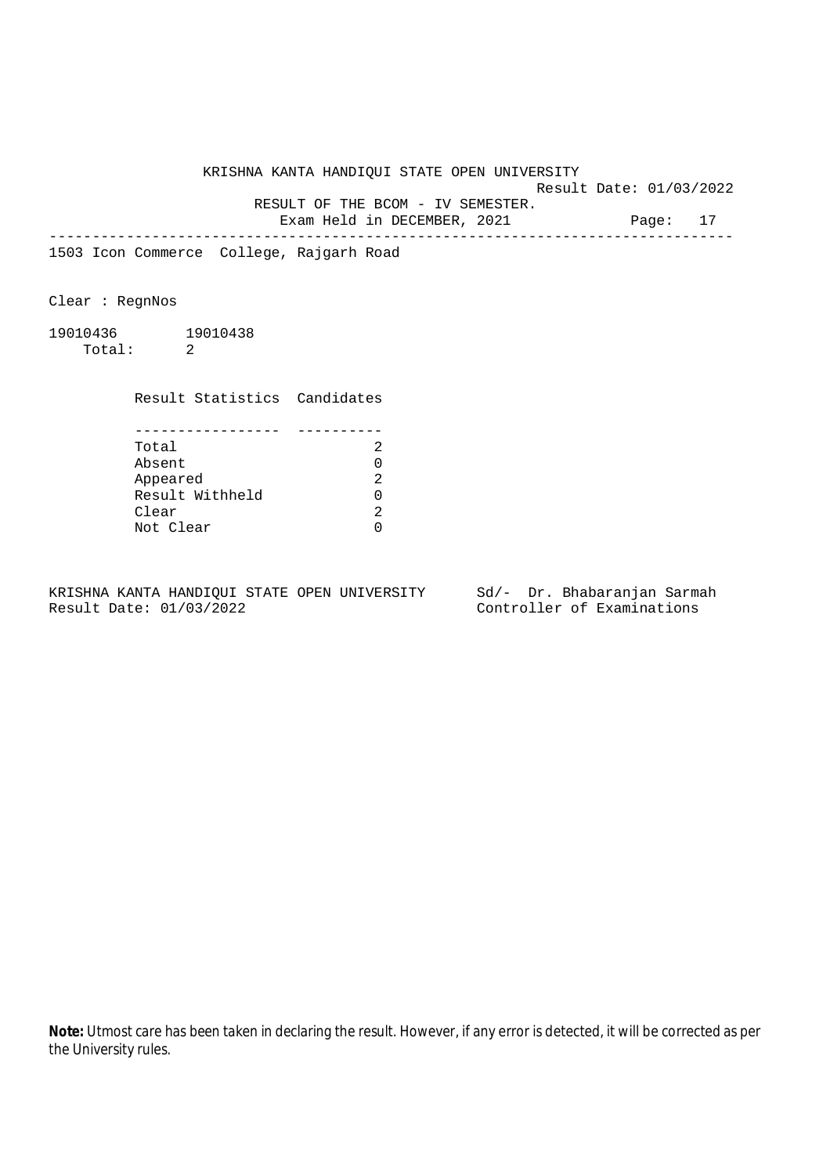Result Date: 01/03/2022

RESULT OF THE BCOM - IV SEMESTER.

Exam Held in DECEMBER, 2021 Page: 17 --------------------------------------------------------------------------------

1503 Icon Commerce College, Rajgarh Road

Clear : RegnNos

19010436 19010438 Total: 2

Result Statistics Candidates

| Total           |  |
|-----------------|--|
| Absent          |  |
| Appeared        |  |
| Result Withheld |  |
| Clear           |  |
| Not Clear       |  |

KRISHNA KANTA HANDIQUI STATE OPEN UNIVERSITY Sd/- Dr. Bhabaranjan Sarmah Result Date: 01/03/2022 Controller of Examinations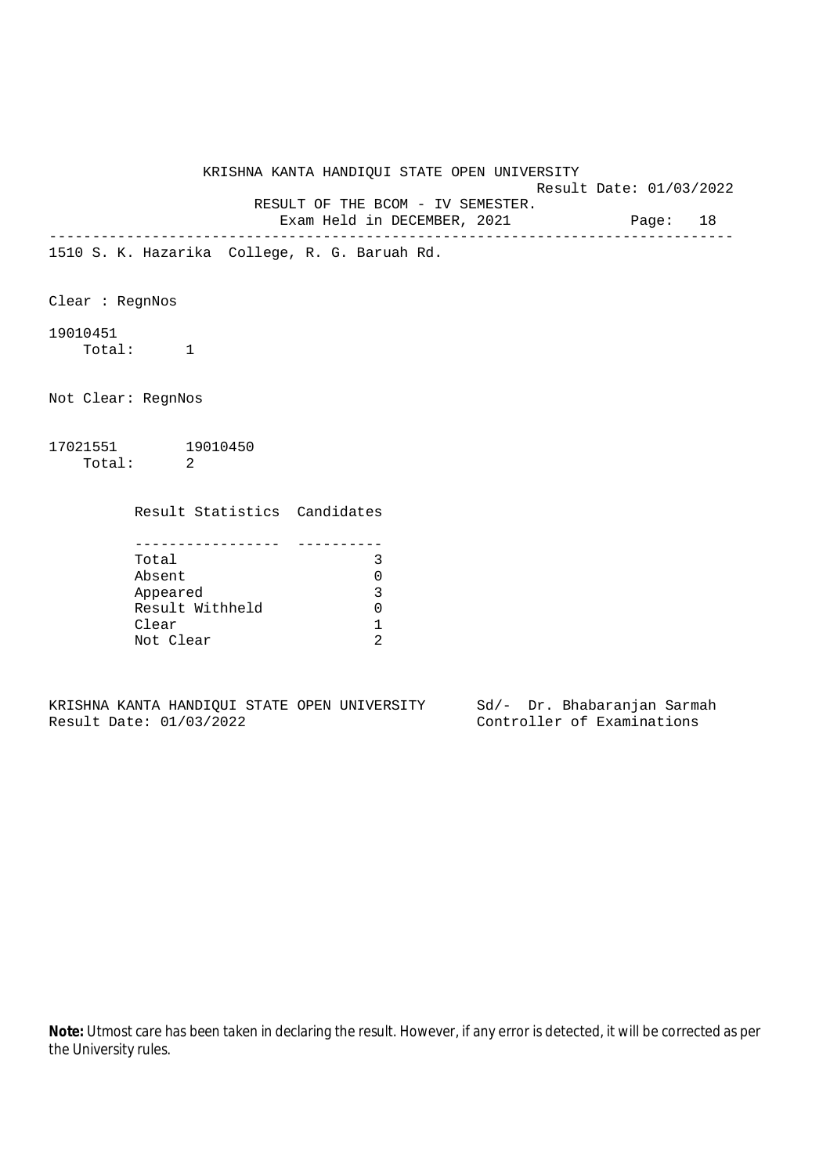Result Date: 01/03/2022

RESULT OF THE BCOM - IV SEMESTER.

Exam Held in DECEMBER, 2021 Page: 18 --------------------------------------------------------------------------------

1510 S. K. Hazarika College, R. G. Baruah Rd.

Clear : RegnNos

19010451

Total: 1

Not Clear: RegnNos

17021551 19010450 Total: 2

Result Statistics Candidates

| Total           |  |
|-----------------|--|
| Absent          |  |
| Appeared        |  |
| Result Withheld |  |
| Clear           |  |
| Not Clear       |  |

KRISHNA KANTA HANDIQUI STATE OPEN UNIVERSITY Sd/- Dr. Bhabaranjan Sarmah Result Date: 01/03/2022 Controller of Examinations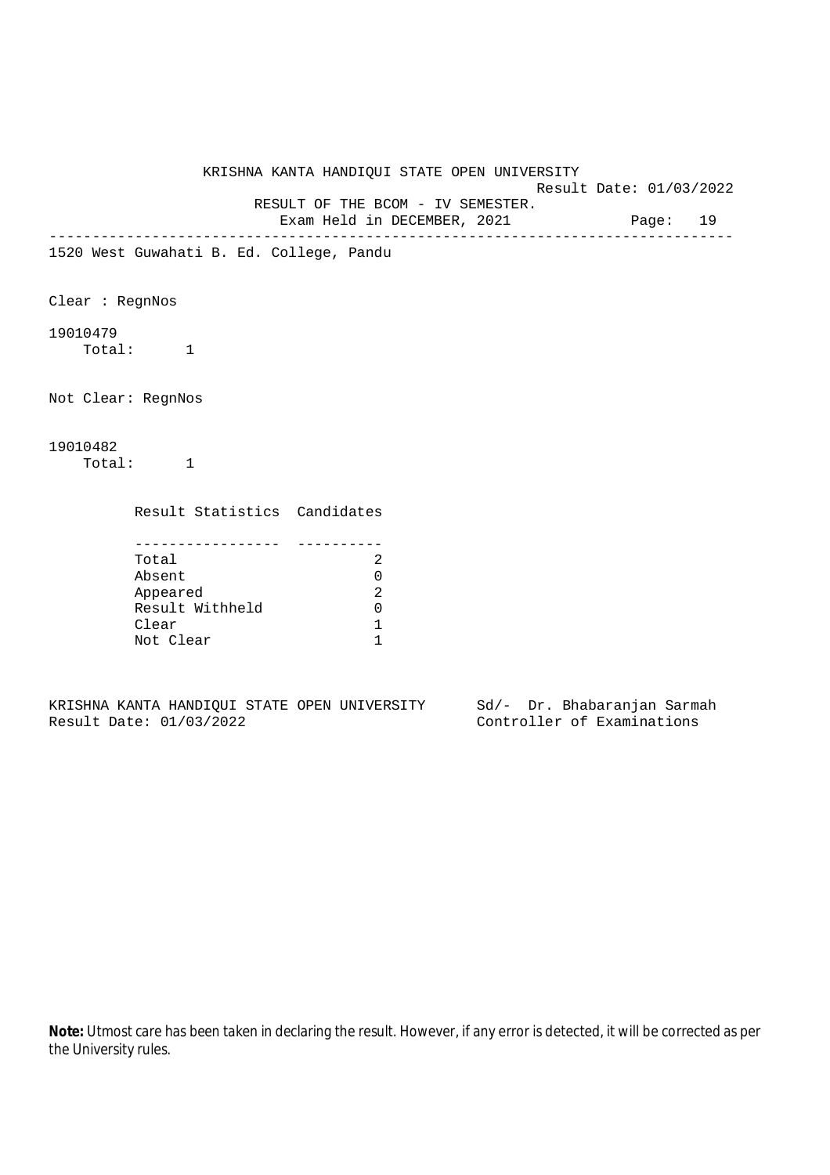Result Date: 01/03/2022

RESULT OF THE BCOM - IV SEMESTER.

Exam Held in DECEMBER, 2021 Page: 19 --------------------------------------------------------------------------------

1520 West Guwahati B. Ed. College, Pandu

Clear : RegnNos

19010479

Total: 1

Not Clear: RegnNos

## 19010482 Total: 1

Result Statistics Candidates

| Total           |  |
|-----------------|--|
| Absent          |  |
| Appeared        |  |
| Result Withheld |  |
| Clear           |  |
| Not Clear       |  |

KRISHNA KANTA HANDIQUI STATE OPEN UNIVERSITY Sd/- Dr. Bhabaranjan Sarmah Result Date: 01/03/2022 Controller of Examinations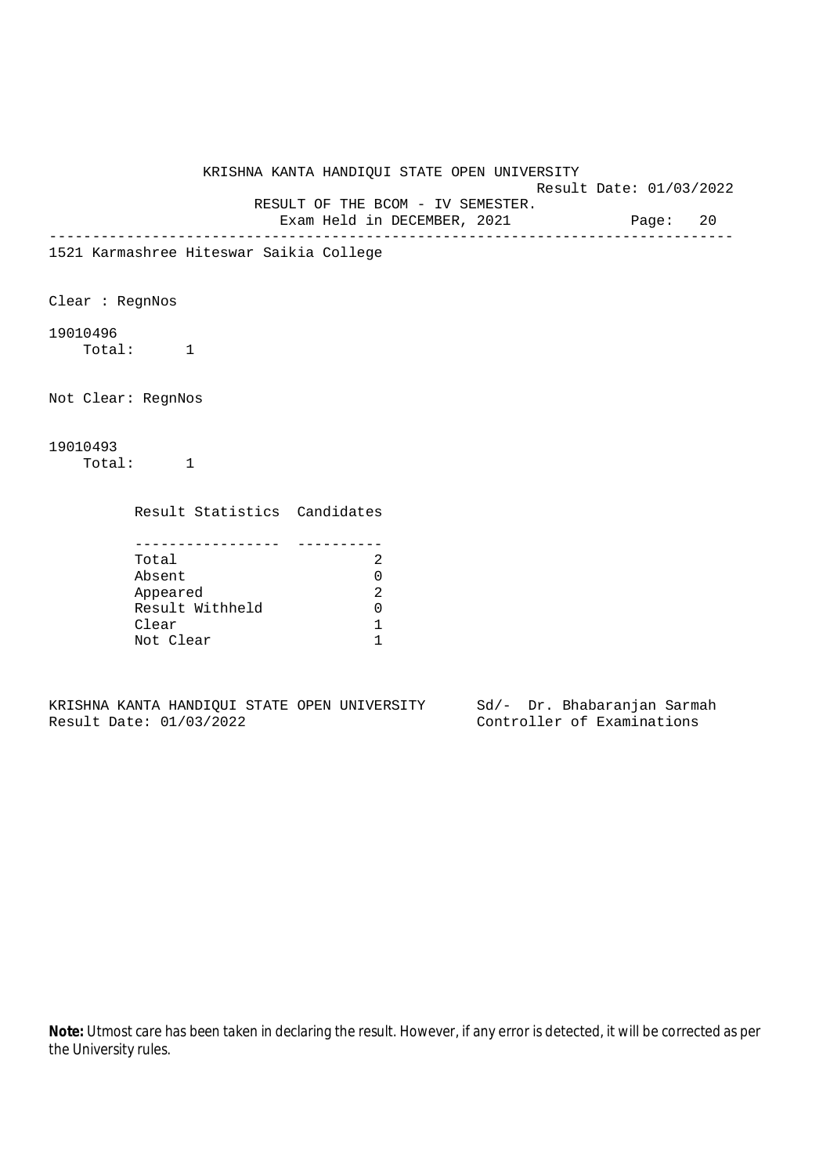Result Date: 01/03/2022

RESULT OF THE BCOM - IV SEMESTER.

Exam Held in DECEMBER, 2021 Page: 20 --------------------------------------------------------------------------------

1521 Karmashree Hiteswar Saikia College

Clear : RegnNos

19010496

Total: 1

Not Clear: RegnNos

## 19010493 Total: 1

Result Statistics Candidates

| Total           |  |
|-----------------|--|
| Absent          |  |
| Appeared        |  |
| Result Withheld |  |
| Clear           |  |
| Not Clear       |  |

KRISHNA KANTA HANDIQUI STATE OPEN UNIVERSITY Sd/- Dr. Bhabaranjan Sarmah Result Date: 01/03/2022 Controller of Examinations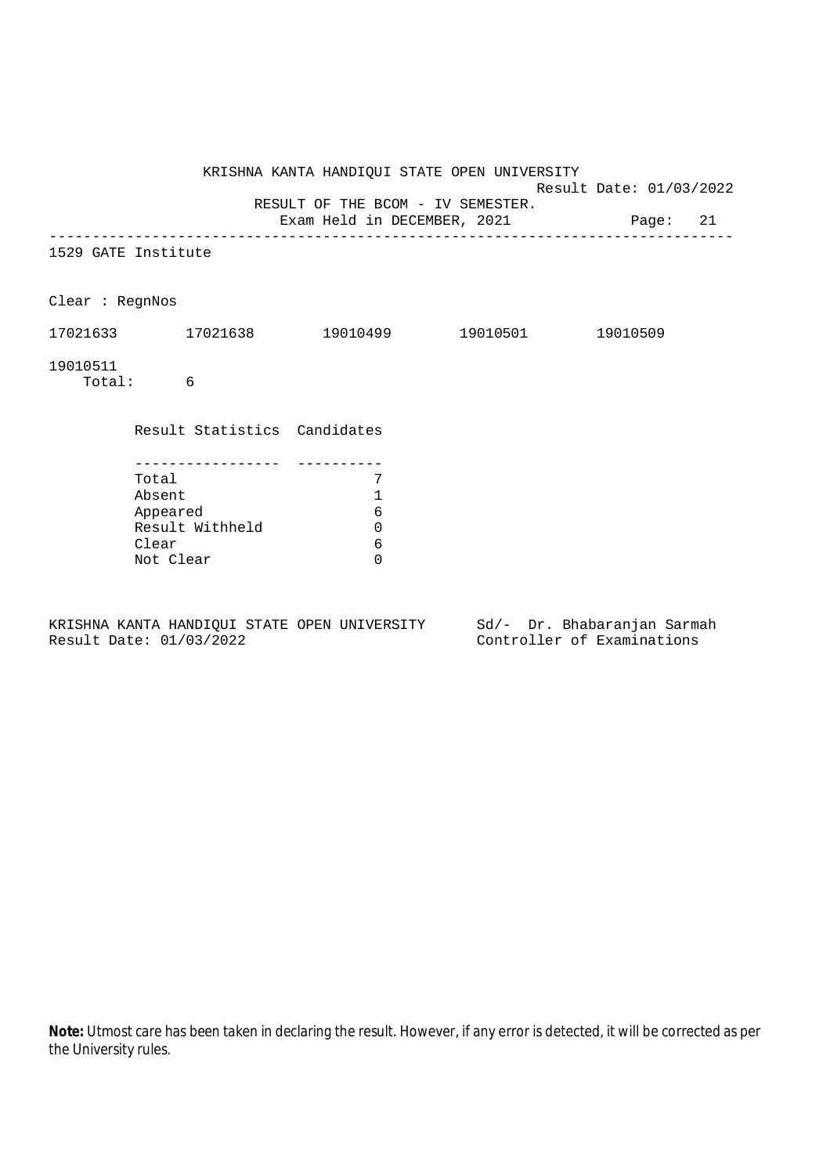KRISHNA KANTA HANDIQUI STATE OPEN UNIVERSITY Result Date: 01/03/2022 RESULT OF THE BCOM - IV SEMESTER. Exam Held in DECEMBER, 2021 Page: 21 -------------------------------------------------------------------------------- 1529 GATE Institute Clear : RegnNos 17021633 17021638 19010499 19010501 19010509 19010511 Total: 6 Result Statistics Candidates ----------------- ---------- Total 7 Absent 1<br>Appeared 6 Appeared 6 Result Withheld 0 Clear 6 Not Clear 0 KRISHNA KANTA HANDIQUI STATE OPEN UNIVERSITY Sd/- Dr. Bhabaranjan Sarmah

Result Date: 01/03/2022 Controller of Examinations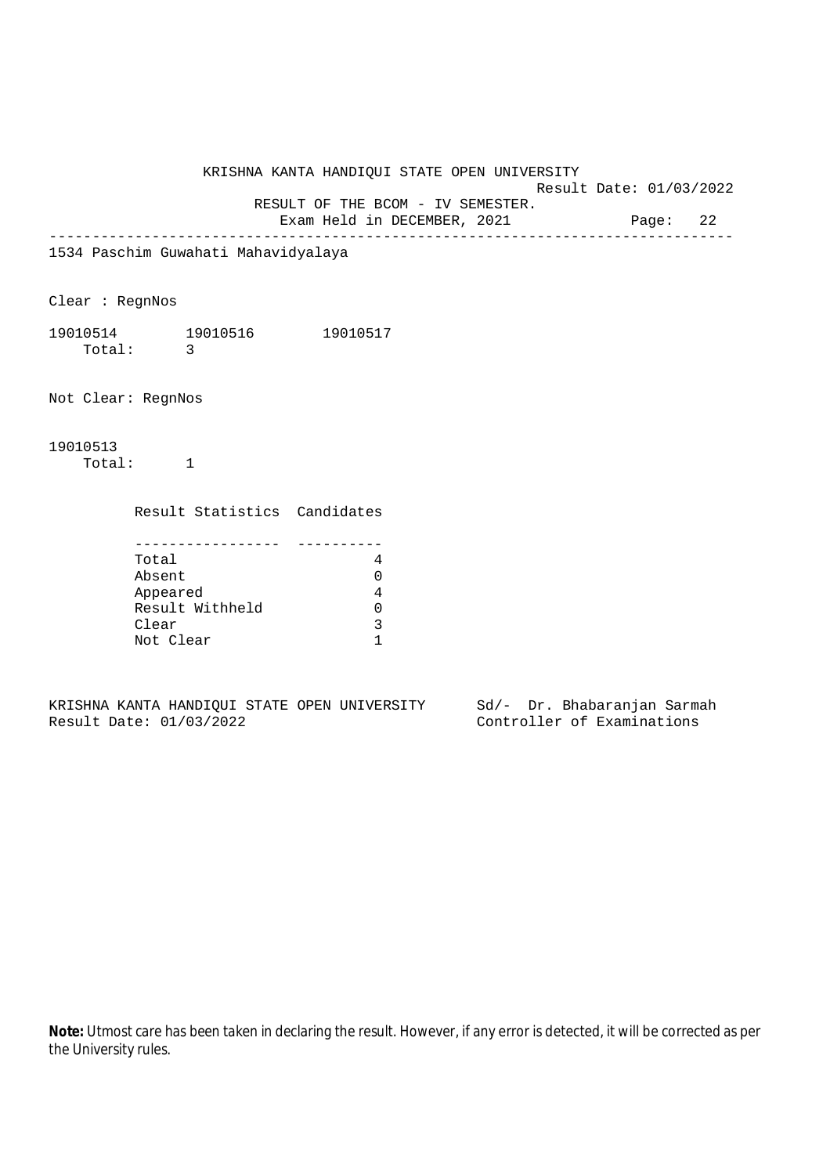Result Date: 01/03/2022

RESULT OF THE BCOM - IV SEMESTER.

Exam Held in DECEMBER, 2021 Page: 22 --------------------------------------------------------------------------------

1534 Paschim Guwahati Mahavidyalaya

Clear : RegnNos

19010514 19010516 19010517 Total: 3

Not Clear: RegnNos

19010513 Total: 1

Result Statistics Candidates

| Total           |  |
|-----------------|--|
| Absent          |  |
| Appeared        |  |
| Result Withheld |  |
| Clear           |  |
| Not Clear       |  |

KRISHNA KANTA HANDIQUI STATE OPEN UNIVERSITY Sd/- Dr. Bhabaranjan Sarmah Result Date: 01/03/2022 Controller of Examinations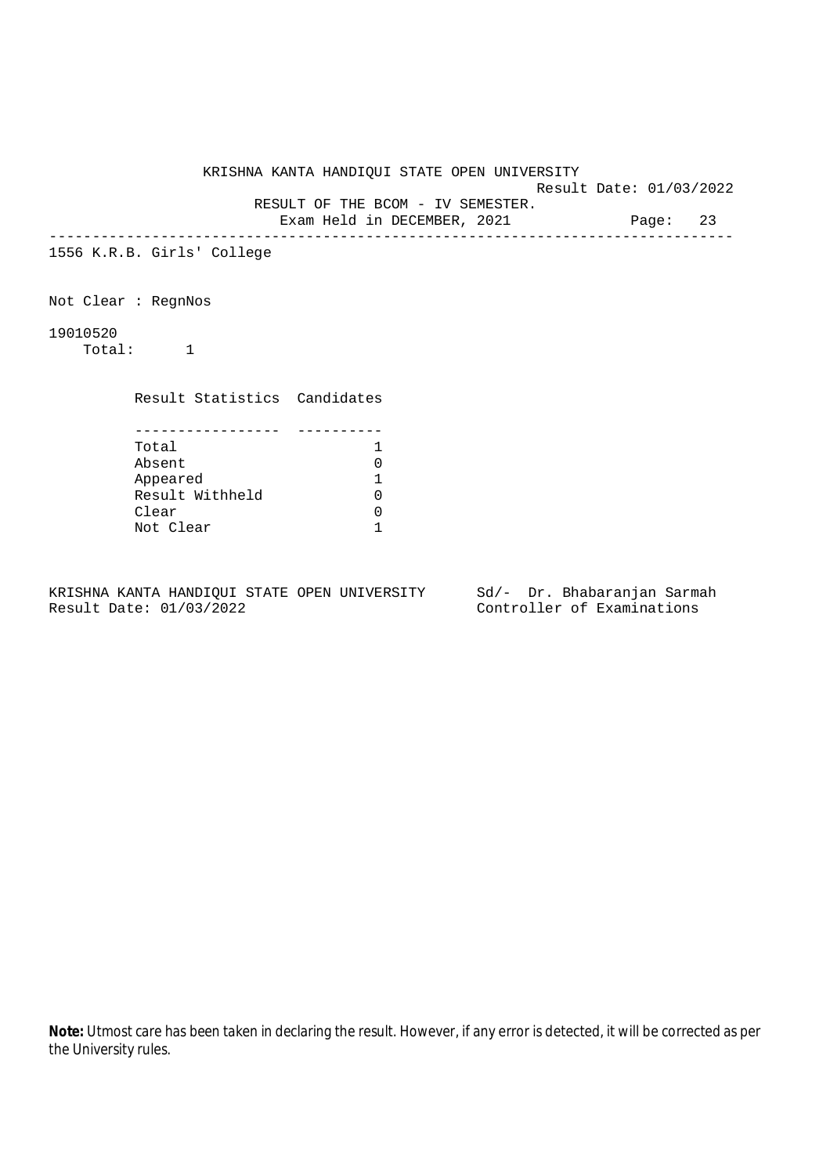Result Date: 01/03/2022 RESULT OF THE BCOM - IV SEMESTER.

Exam Held in DECEMBER, 2021 Page: 23

--------------------------------------------------------------------------------

1556 K.R.B. Girls' College

Not Clear : RegnNos

19010520

Total: 1

Result Statistics Candidates

| Total           |  |
|-----------------|--|
| Absent          |  |
| Appeared        |  |
| Result Withheld |  |
| Clear           |  |
| Not Clear       |  |

KRISHNA KANTA HANDIQUI STATE OPEN UNIVERSITY Sd/- Dr. Bhabaranjan Sarmah Result Date: 01/03/2022 Controller of Examinations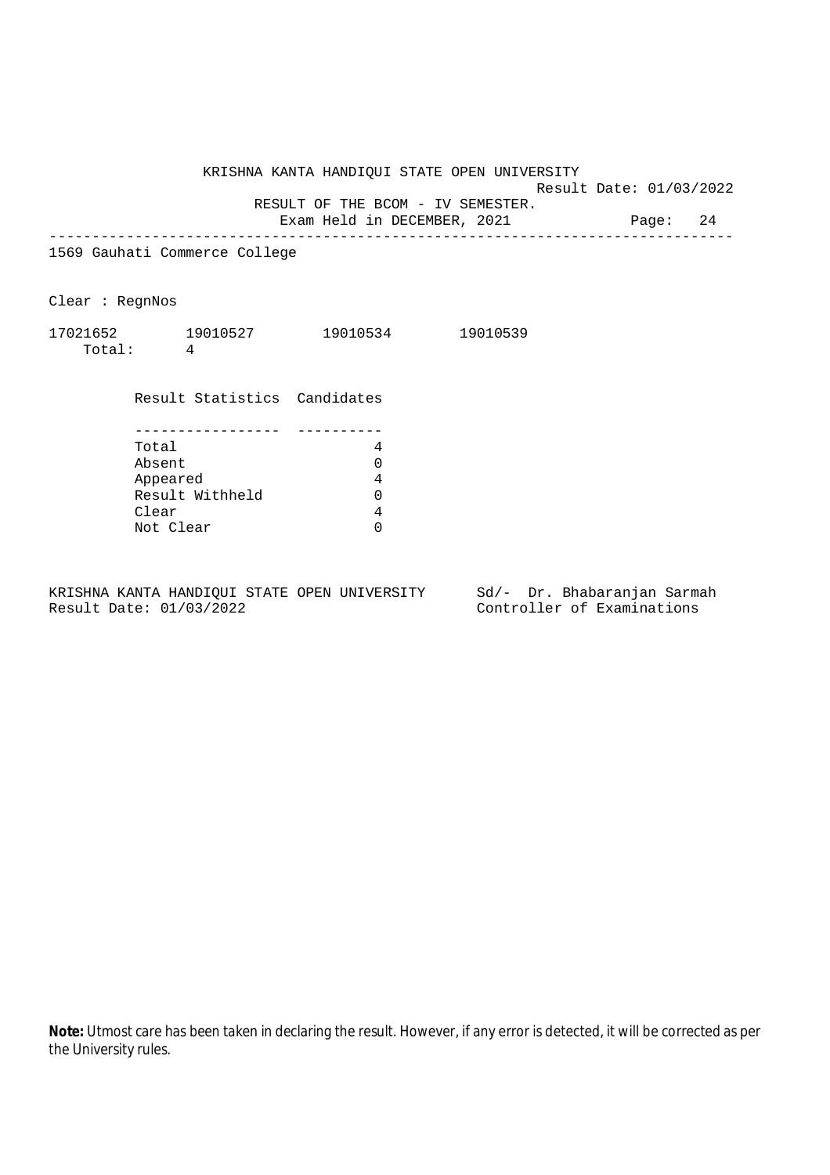Result Date: 01/03/2022

RESULT OF THE BCOM - IV SEMESTER.

Exam Held in DECEMBER, 2021 Page: 24 --------------------------------------------------------------------------------

1569 Gauhati Commerce College

Clear : RegnNos

| 17021652 | 19010527 | 19010534 | 19010539 |
|----------|----------|----------|----------|
| Total:   |          |          |          |

Result Statistics Candidates

| Total           |  |
|-----------------|--|
| Absent          |  |
| Appeared        |  |
| Result Withheld |  |
| Clear           |  |
| Not Clear       |  |

KRISHNA KANTA HANDIQUI STATE OPEN UNIVERSITY Sd/- Dr. Bhabaranjan Sarmah Result Date: 01/03/2022 Controller of Examinations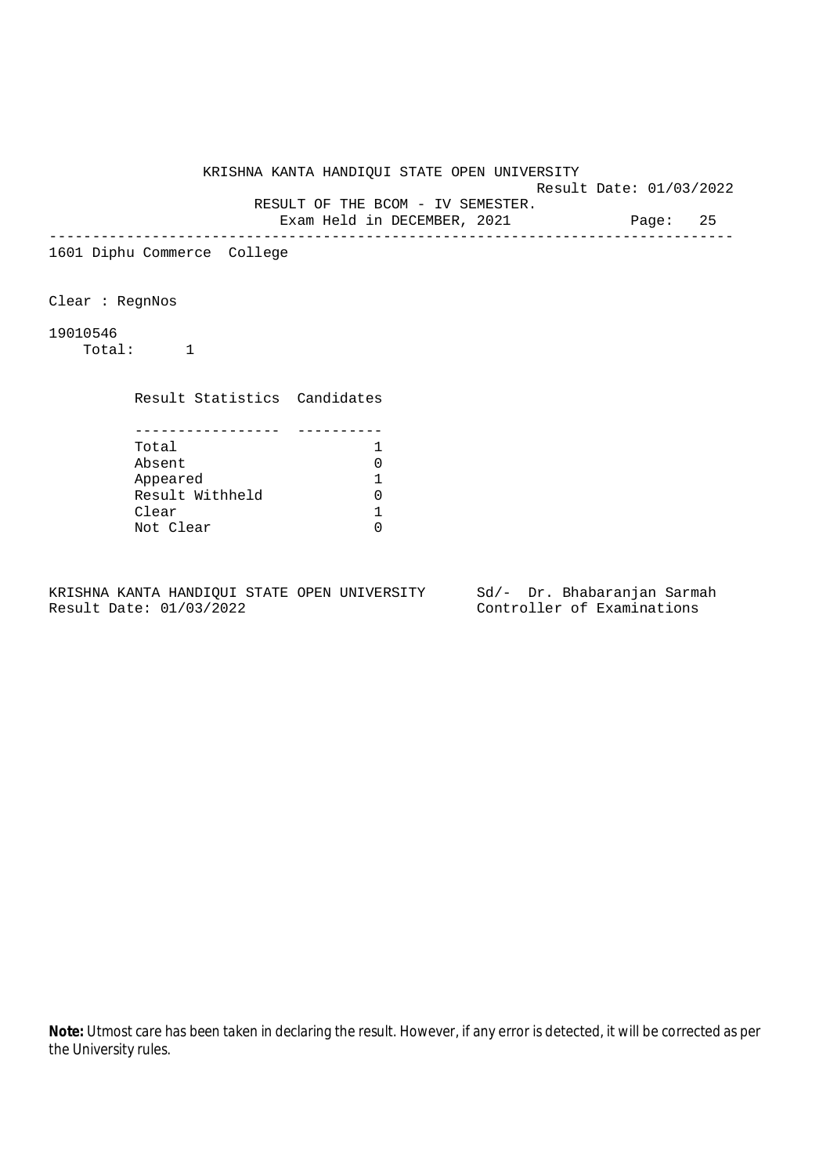Result Date: 01/03/2022

RESULT OF THE BCOM - IV SEMESTER.

Exam Held in DECEMBER, 2021 Page: 25 --------------------------------------------------------------------------------

1601 Diphu Commerce College

Clear : RegnNos

19010546

Total: 1

Result Statistics Candidates

| Total           |  |
|-----------------|--|
| Absent          |  |
| Appeared        |  |
| Result Withheld |  |
| Clear           |  |
| Not Clear       |  |

KRISHNA KANTA HANDIQUI STATE OPEN UNIVERSITY Sd/- Dr. Bhabaranjan Sarmah Result Date: 01/03/2022 Controller of Examinations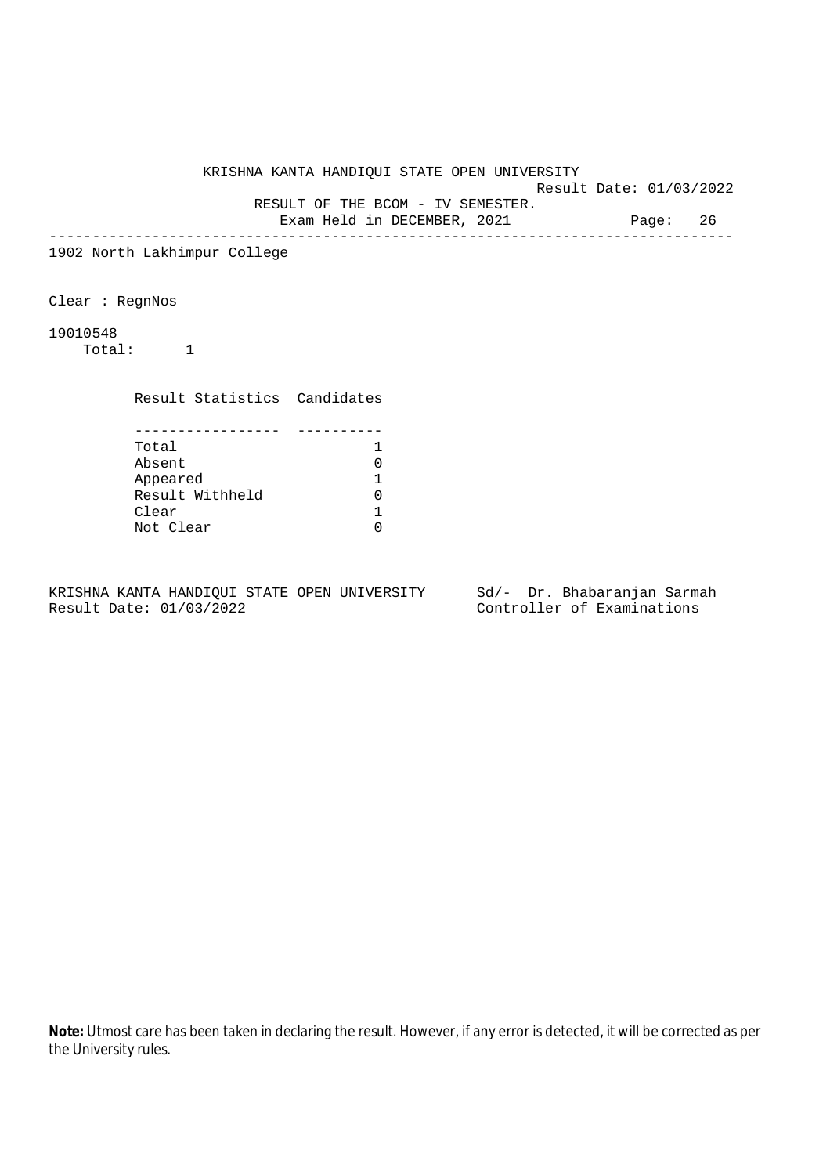Result Date: 01/03/2022

RESULT OF THE BCOM - IV SEMESTER.

Exam Held in DECEMBER, 2021 Page: 26 --------------------------------------------------------------------------------

1902 North Lakhimpur College

Clear : RegnNos

19010548

Total: 1

Result Statistics Candidates

| Total           |  |
|-----------------|--|
| Absent          |  |
| Appeared        |  |
| Result Withheld |  |
| Clear           |  |
| Not Clear       |  |

KRISHNA KANTA HANDIQUI STATE OPEN UNIVERSITY Sd/- Dr. Bhabaranjan Sarmah Result Date: 01/03/2022 Controller of Examinations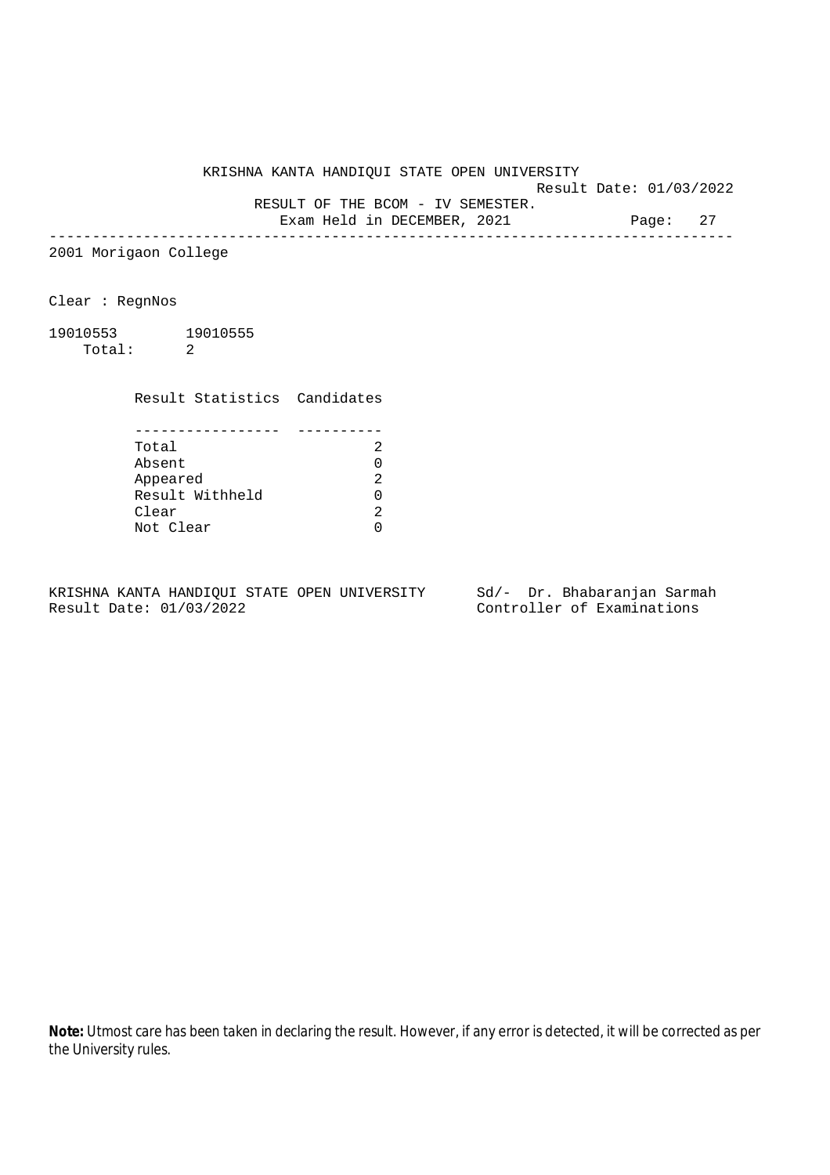Result Date: 01/03/2022

RESULT OF THE BCOM - IV SEMESTER.

Exam Held in DECEMBER, 2021 Page: 27 --------------------------------------------------------------------------------

2001 Morigaon College

Clear : RegnNos

19010553 19010555 Total: 2

Result Statistics Candidates

| Total           |  |
|-----------------|--|
| Absent          |  |
| Appeared        |  |
| Result Withheld |  |
| Clear           |  |
| Not Clear       |  |

KRISHNA KANTA HANDIQUI STATE OPEN UNIVERSITY Sd/- Dr. Bhabaranjan Sarmah Result Date: 01/03/2022 Controller of Examinations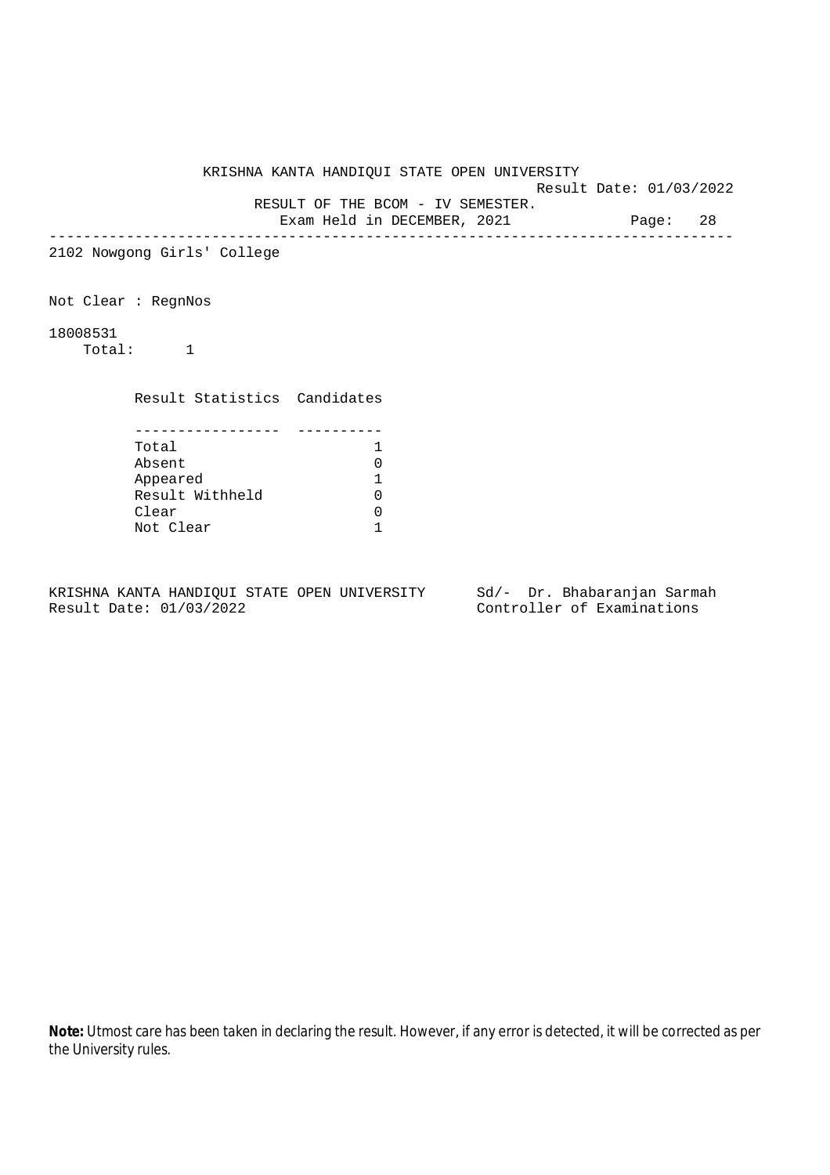Result Date: 01/03/2022

 RESULT OF THE BCOM - IV SEMESTER. Exam Held in DECEMBER, 2021 Page: 28

--------------------------------------------------------------------------------

2102 Nowgong Girls' College

Not Clear : RegnNos

18008531

Total: 1

Result Statistics Candidates

| Total           |  |
|-----------------|--|
| Absent          |  |
| Appeared        |  |
| Result Withheld |  |
| Clear           |  |
| Not Clear       |  |

KRISHNA KANTA HANDIQUI STATE OPEN UNIVERSITY Sd/- Dr. Bhabaranjan Sarmah Result Date: 01/03/2022 Controller of Examinations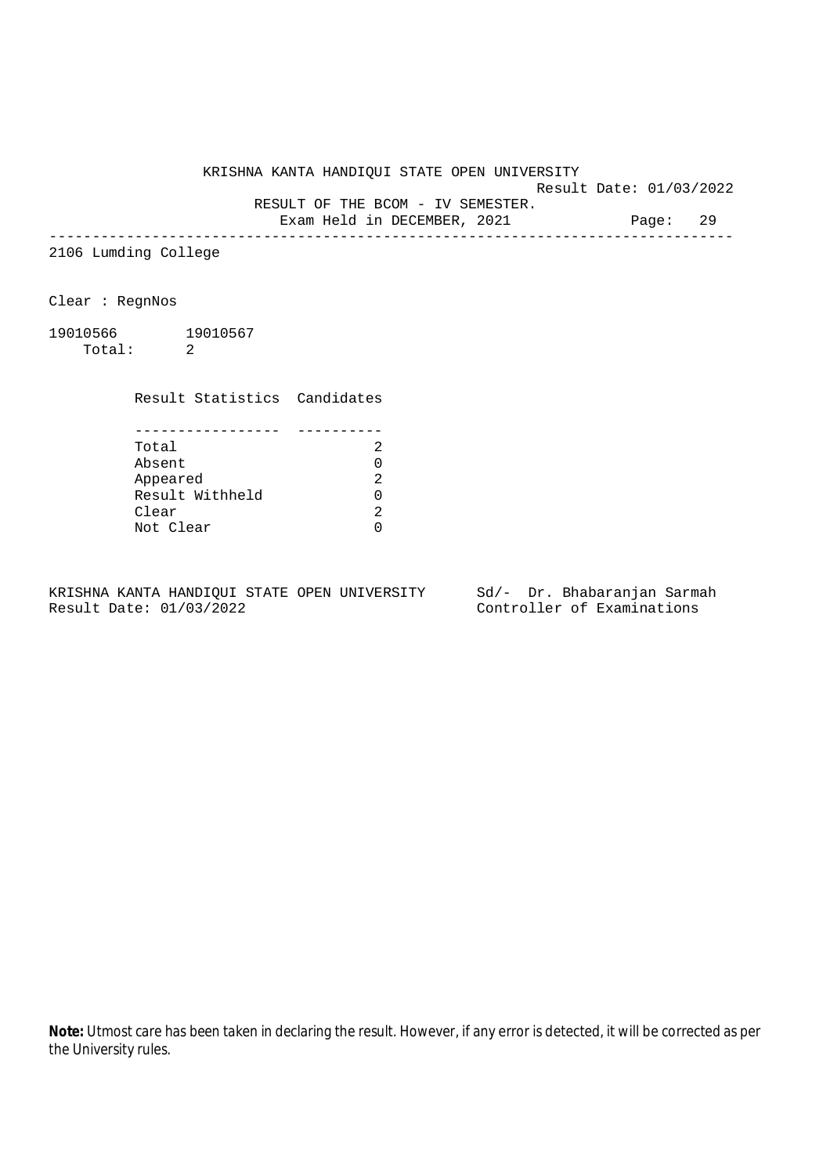Result Date: 01/03/2022

RESULT OF THE BCOM - IV SEMESTER.

Exam Held in DECEMBER, 2021 Page: 29 --------------------------------------------------------------------------------

2106 Lumding College

Clear : RegnNos

19010566 19010567 Total: 2

Result Statistics Candidates

| Total           |  |
|-----------------|--|
| Absent          |  |
| Appeared        |  |
| Result Withheld |  |
| Clear           |  |
| Not Clear       |  |

KRISHNA KANTA HANDIQUI STATE OPEN UNIVERSITY Sd/- Dr. Bhabaranjan Sarmah Result Date: 01/03/2022 Controller of Examinations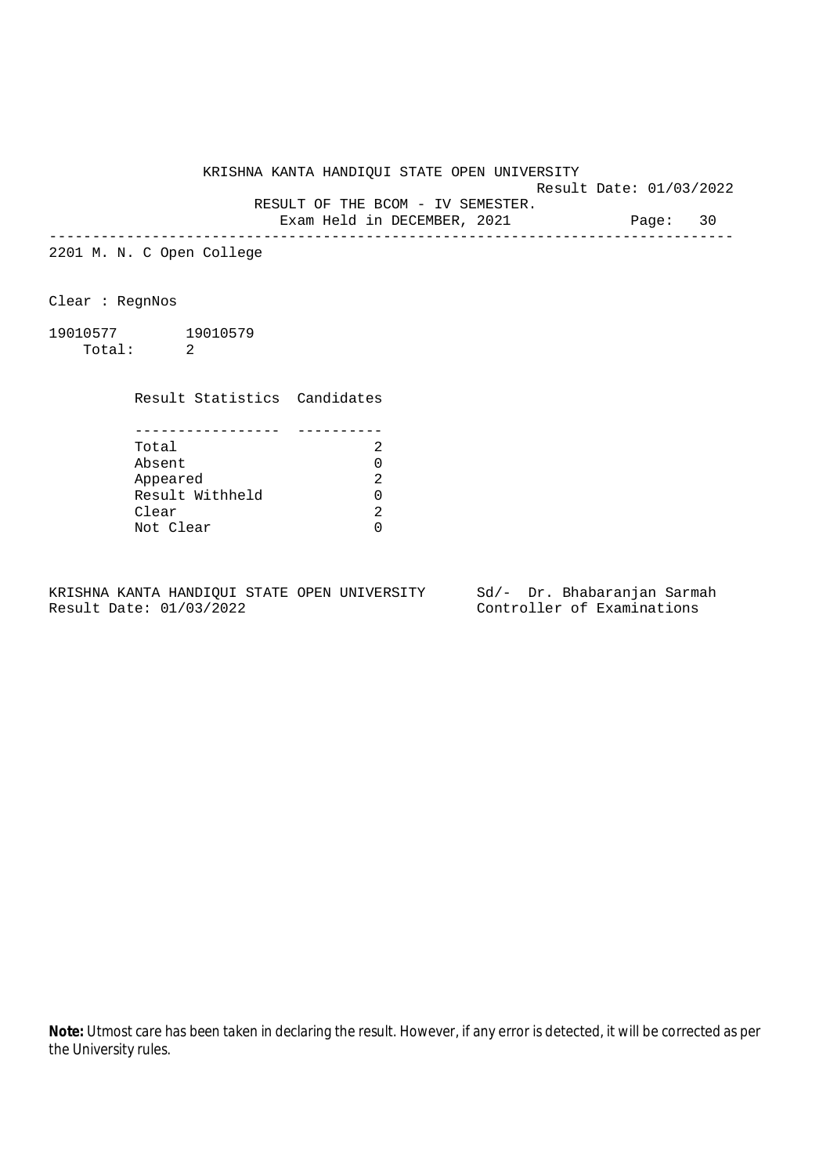Result Date: 01/03/2022

RESULT OF THE BCOM - IV SEMESTER.

Exam Held in DECEMBER, 2021 Page: 30 --------------------------------------------------------------------------------

2201 M. N. C Open College

Clear : RegnNos

19010577 19010579 Total: 2

Result Statistics Candidates

| Total           |  |
|-----------------|--|
| Absent          |  |
| Appeared        |  |
| Result Withheld |  |
| Clear           |  |
| Not Clear       |  |

KRISHNA KANTA HANDIQUI STATE OPEN UNIVERSITY Sd/- Dr. Bhabaranjan Sarmah Result Date: 01/03/2022 Controller of Examinations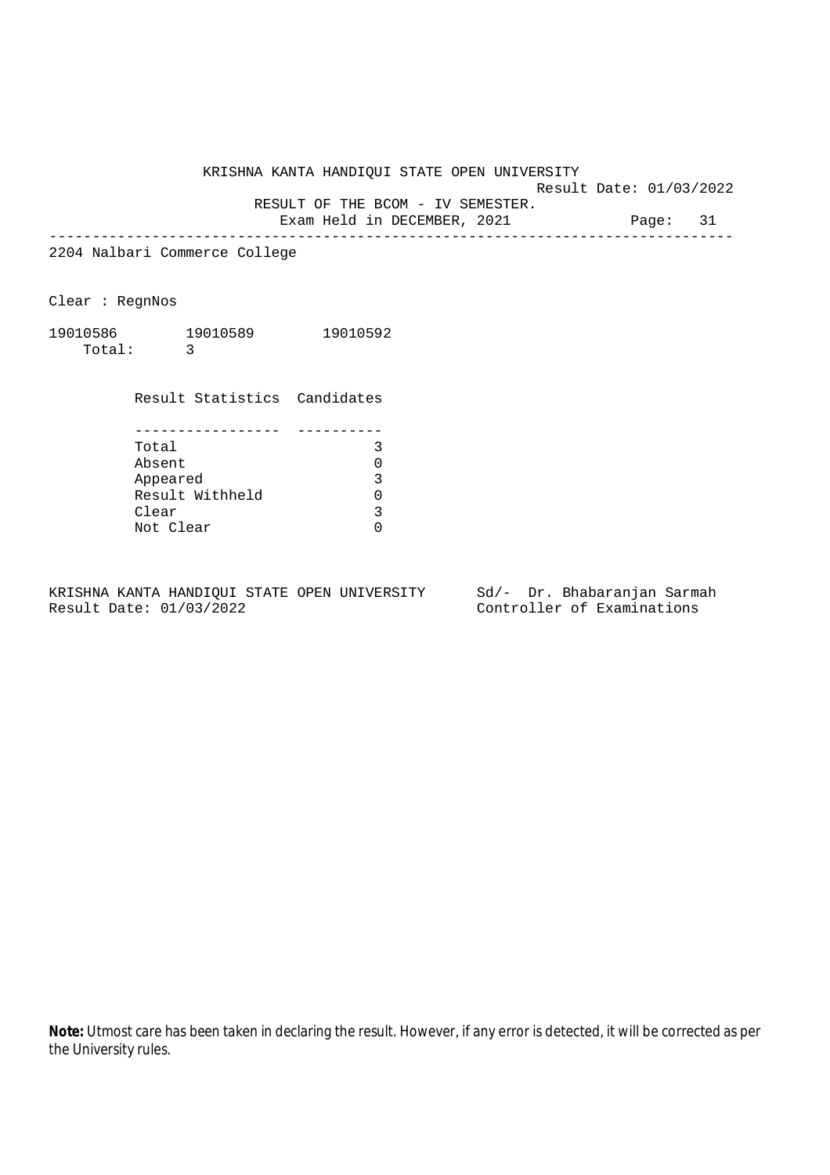Result Date: 01/03/2022

RESULT OF THE BCOM - IV SEMESTER.

Exam Held in DECEMBER, 2021 Page: 31 --------------------------------------------------------------------------------

2204 Nalbari Commerce College

Clear : RegnNos

19010586 19010589 19010592 Total: 3

Result Statistics Candidates

| Total           |  |
|-----------------|--|
| Absent          |  |
| Appeared        |  |
| Result Withheld |  |
| Clear           |  |
| Not Clear       |  |

KRISHNA KANTA HANDIQUI STATE OPEN UNIVERSITY Sd/- Dr. Bhabaranjan Sarmah Result Date: 01/03/2022 Controller of Examinations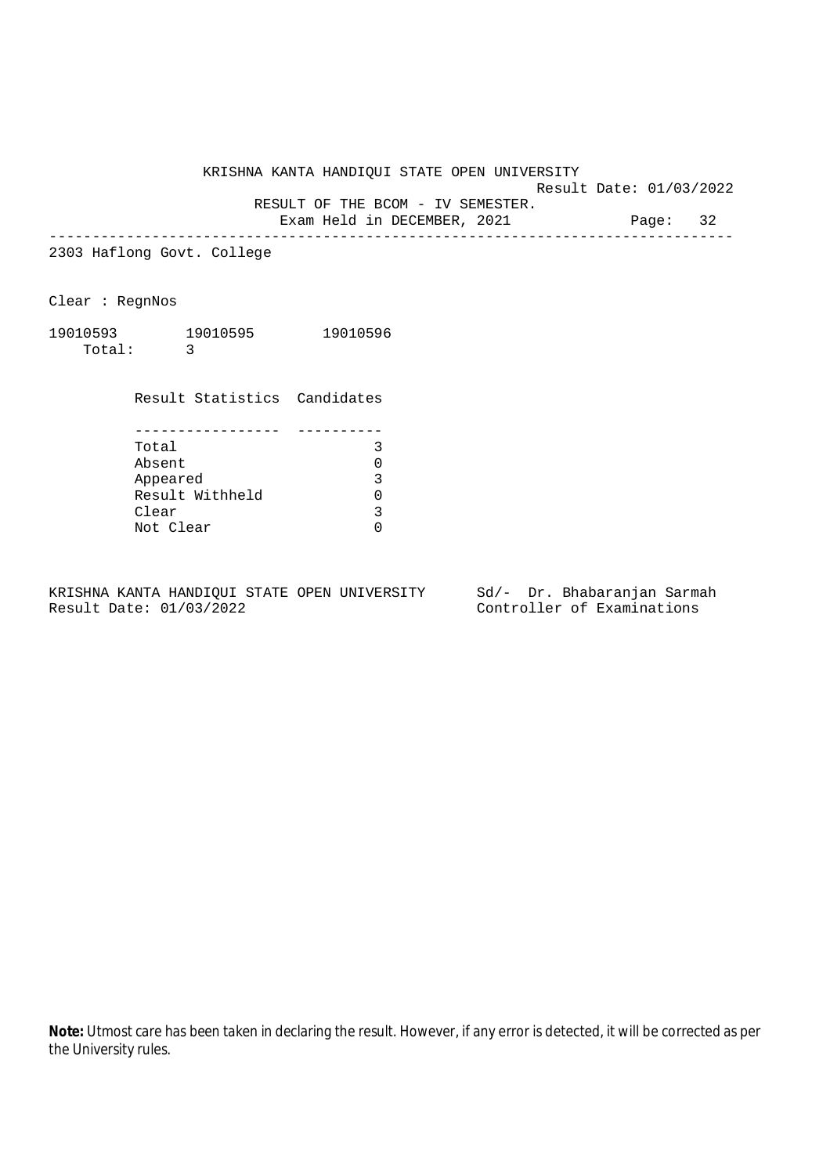Result Date: 01/03/2022

RESULT OF THE BCOM - IV SEMESTER.

Exam Held in DECEMBER, 2021 Page: 32 --------------------------------------------------------------------------------

2303 Haflong Govt. College

Clear : RegnNos

| 19010593 | 19010595 | 19010596 |
|----------|----------|----------|
| Total:   |          |          |

Result Statistics Candidates

| Total           |  |
|-----------------|--|
| Absent          |  |
| Appeared        |  |
| Result Withheld |  |
| Clear           |  |
| Not Clear       |  |

KRISHNA KANTA HANDIQUI STATE OPEN UNIVERSITY Sd/- Dr. Bhabaranjan Sarmah Result Date: 01/03/2022 Controller of Examinations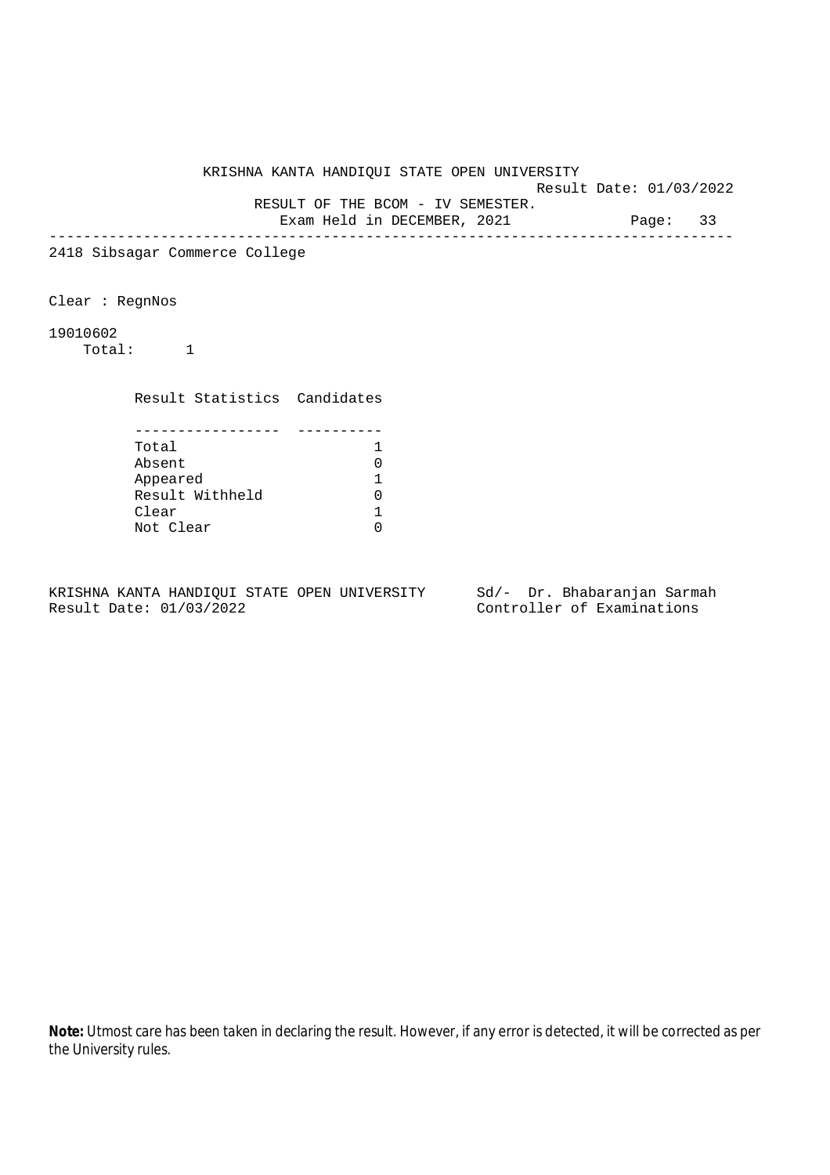Result Date: 01/03/2022

RESULT OF THE BCOM - IV SEMESTER.

Exam Held in DECEMBER, 2021 Page: 33 --------------------------------------------------------------------------------

2418 Sibsagar Commerce College

Clear : RegnNos

19010602

Total: 1

Result Statistics Candidates

| Total           |  |
|-----------------|--|
| Absent          |  |
| Appeared        |  |
| Result Withheld |  |
| Clear           |  |
| Not Clear       |  |

KRISHNA KANTA HANDIQUI STATE OPEN UNIVERSITY Sd/- Dr. Bhabaranjan Sarmah Result Date: 01/03/2022 Controller of Examinations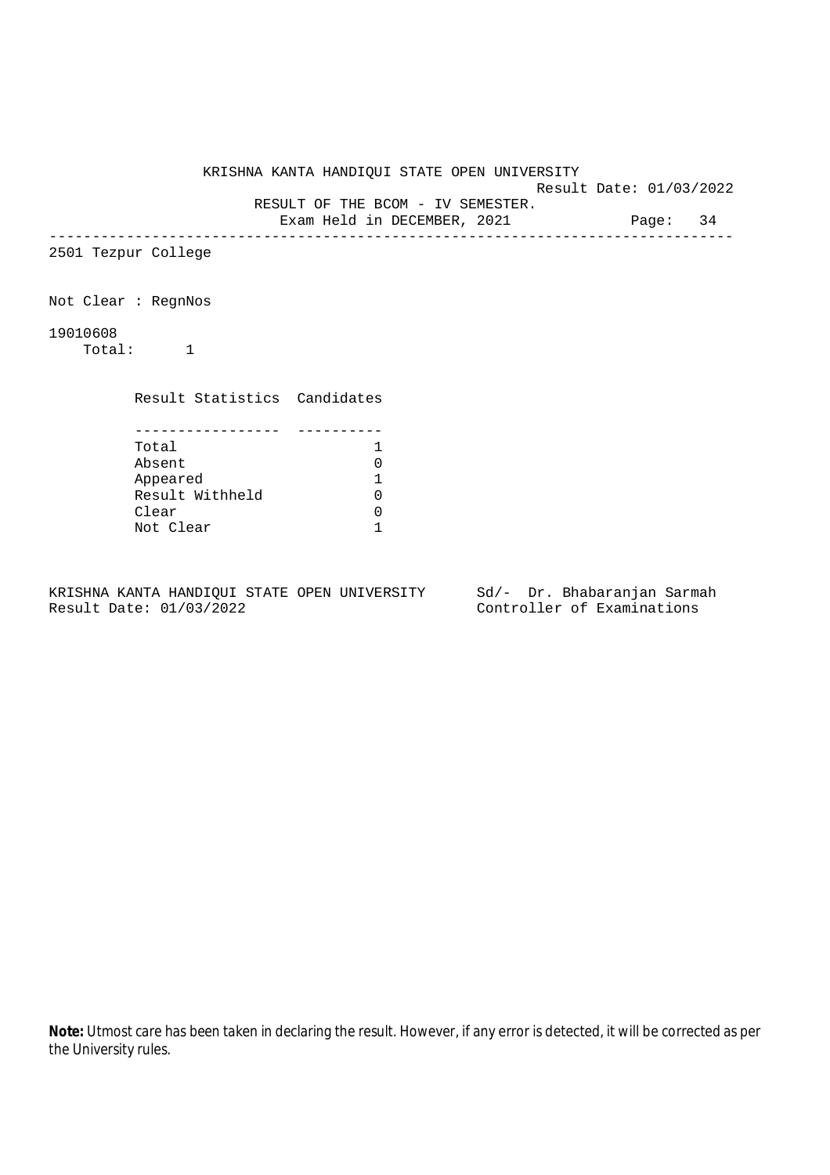Result Date: 01/03/2022 RESULT OF THE BCOM - IV SEMESTER.

Exam Held in DECEMBER, 2021 Page: 34

--------------------------------------------------------------------------------

2501 Tezpur College

Not Clear : RegnNos

19010608

Total: 1

Result Statistics Candidates

| Total           |  |
|-----------------|--|
| Absent          |  |
| Appeared        |  |
| Result Withheld |  |
| Clear           |  |
| Not Clear       |  |

KRISHNA KANTA HANDIQUI STATE OPEN UNIVERSITY Sd/- Dr. Bhabaranjan Sarmah Result Date: 01/03/2022 Controller of Examinations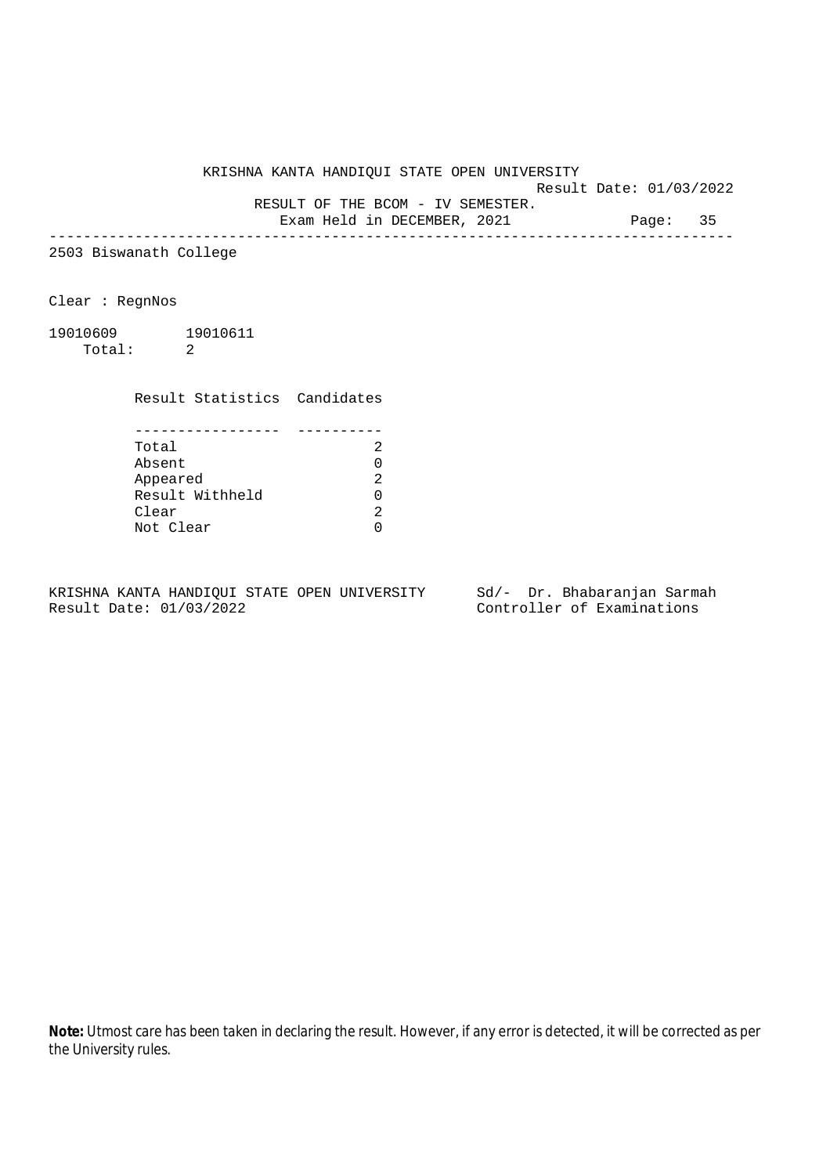Result Date: 01/03/2022

RESULT OF THE BCOM - IV SEMESTER.

Exam Held in DECEMBER, 2021 Page: 35 --------------------------------------------------------------------------------

2503 Biswanath College

Clear : RegnNos

19010609 19010611 Total: 2

Result Statistics Candidates

| Total           |  |
|-----------------|--|
| Absent          |  |
| Appeared        |  |
| Result Withheld |  |
| Clear           |  |
| Not Clear       |  |

KRISHNA KANTA HANDIQUI STATE OPEN UNIVERSITY Sd/- Dr. Bhabaranjan Sarmah Result Date: 01/03/2022 Controller of Examinations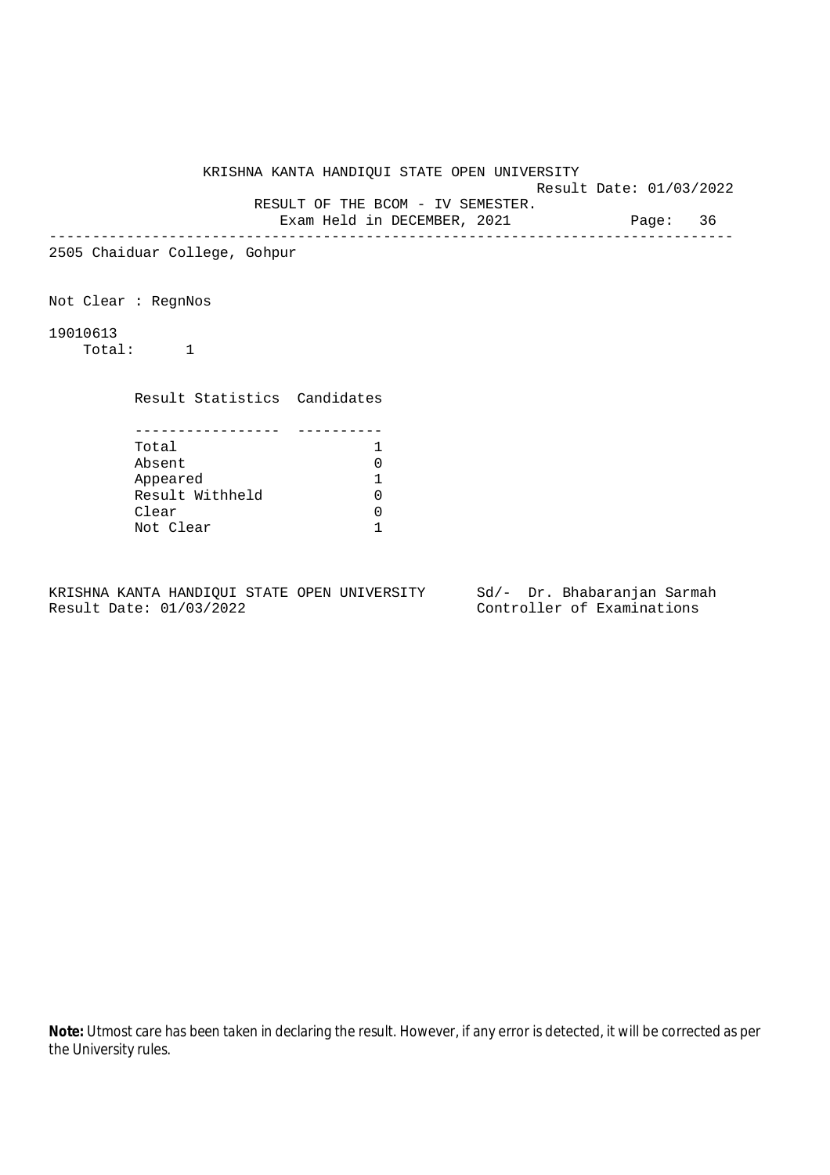Result Date: 01/03/2022

RESULT OF THE BCOM - IV SEMESTER.

Exam Held in DECEMBER, 2021 Page: 36 --------------------------------------------------------------------------------

2505 Chaiduar College, Gohpur

Not Clear : RegnNos

19010613

Total: 1

Result Statistics Candidates

| Total           |  |
|-----------------|--|
| Absent          |  |
| Appeared        |  |
| Result Withheld |  |
| Clear           |  |
| Not Clear       |  |

KRISHNA KANTA HANDIQUI STATE OPEN UNIVERSITY Sd/- Dr. Bhabaranjan Sarmah Result Date: 01/03/2022 Controller of Examinations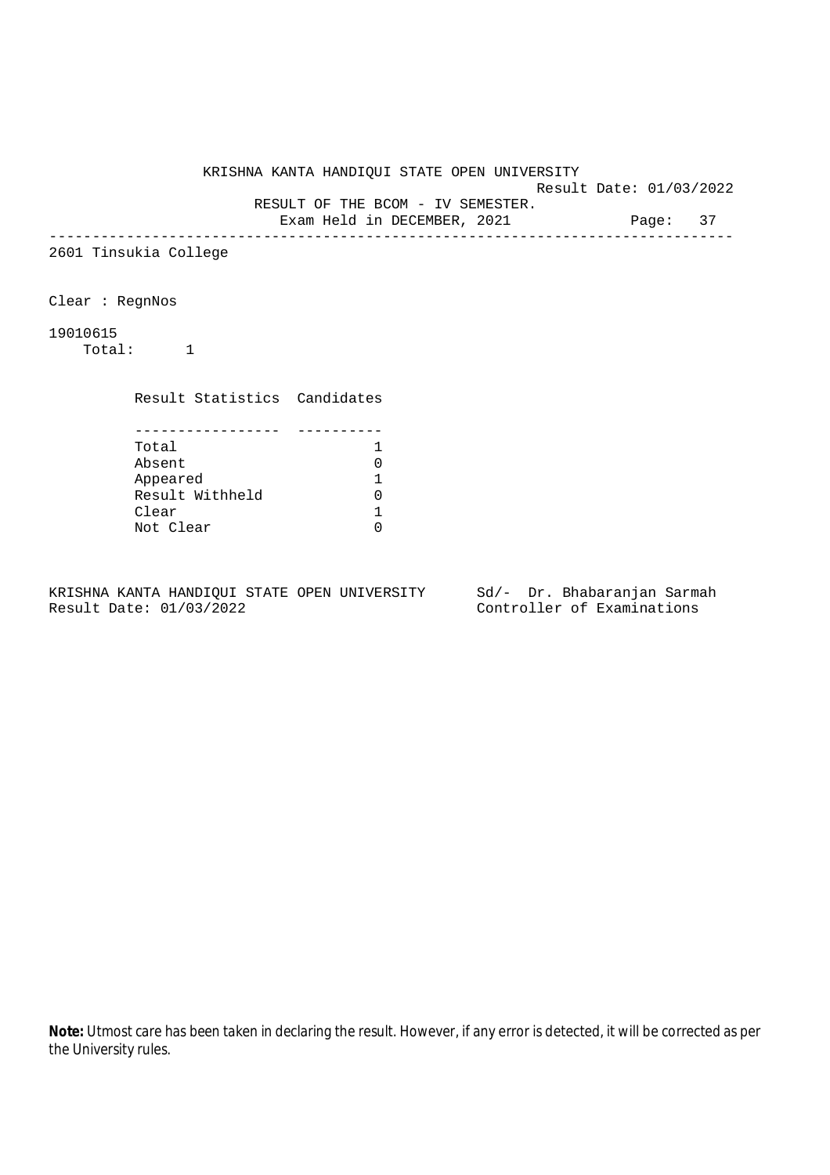Result Date: 01/03/2022

RESULT OF THE BCOM - IV SEMESTER.

Exam Held in DECEMBER, 2021 Page: 37 --------------------------------------------------------------------------------

2601 Tinsukia College

Clear : RegnNos

19010615

Total: 1

Result Statistics Candidates

| Total           |  |
|-----------------|--|
| Absent          |  |
| Appeared        |  |
| Result Withheld |  |
| Clear           |  |
| Not Clear       |  |

KRISHNA KANTA HANDIQUI STATE OPEN UNIVERSITY Sd/- Dr. Bhabaranjan Sarmah Result Date: 01/03/2022 Controller of Examinations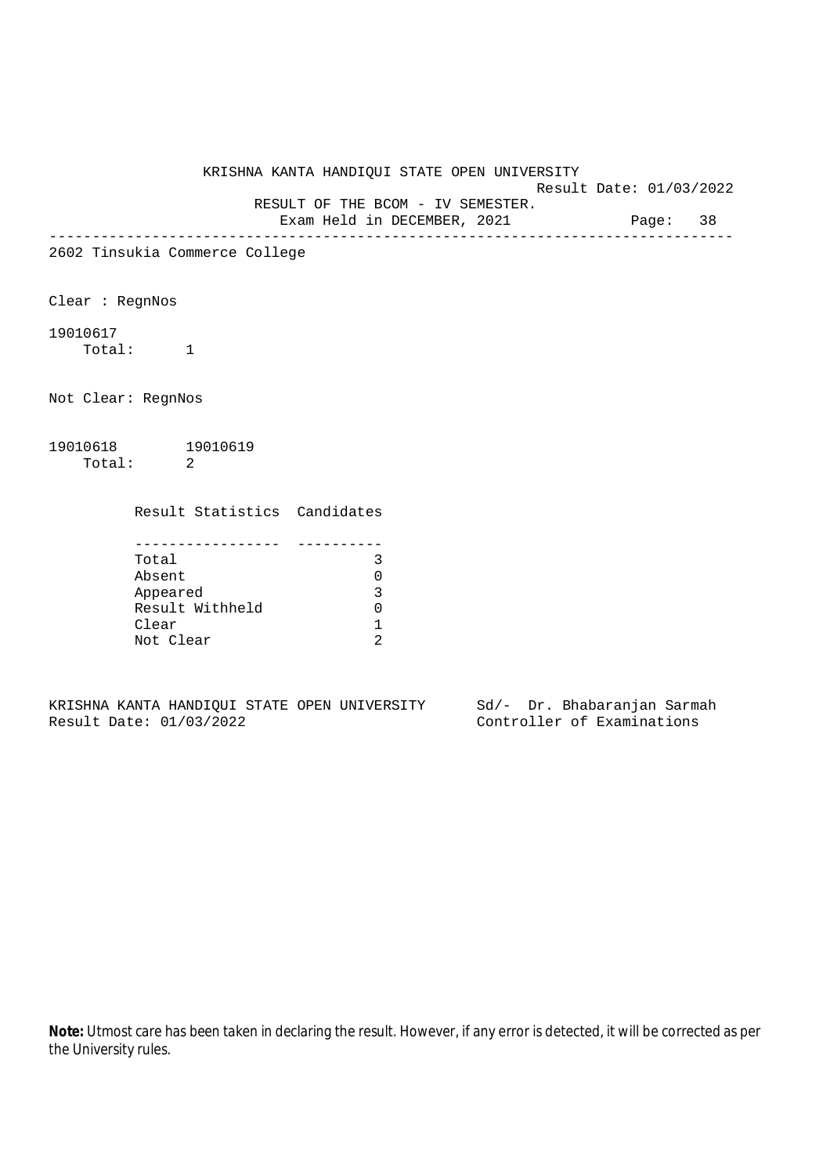Result Date: 01/03/2022

RESULT OF THE BCOM - IV SEMESTER.

Exam Held in DECEMBER, 2021 Page: 38 --------------------------------------------------------------------------------

2602 Tinsukia Commerce College

Clear : RegnNos

19010617 Total: 1

Not Clear: RegnNos

19010618 19010619 Total: 2

Result Statistics Candidates

| Total           |  |
|-----------------|--|
| Absent          |  |
| Appeared        |  |
| Result Withheld |  |
| Clear           |  |
| Not Clear       |  |

KRISHNA KANTA HANDIQUI STATE OPEN UNIVERSITY Sd/- Dr. Bhabaranjan Sarmah Result Date: 01/03/2022 Controller of Examinations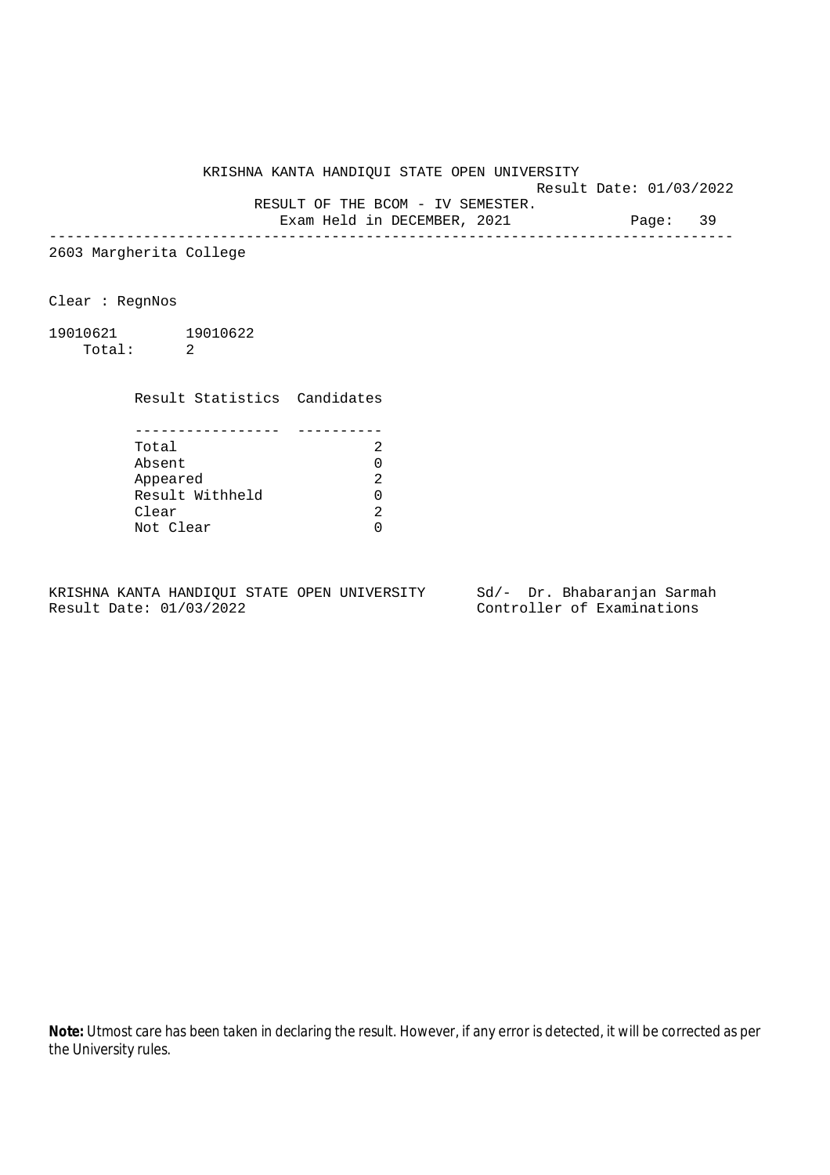Result Date: 01/03/2022

RESULT OF THE BCOM - IV SEMESTER.

Exam Held in DECEMBER, 2021 Page: 39 --------------------------------------------------------------------------------

2603 Margherita College

Clear : RegnNos

19010621 19010622 Total: 2

Result Statistics Candidates

| Total           |  |
|-----------------|--|
| Absent          |  |
| Appeared        |  |
| Result Withheld |  |
| Clear           |  |
| Not Clear       |  |

KRISHNA KANTA HANDIQUI STATE OPEN UNIVERSITY Sd/- Dr. Bhabaranjan Sarmah Result Date: 01/03/2022 Controller of Examinations